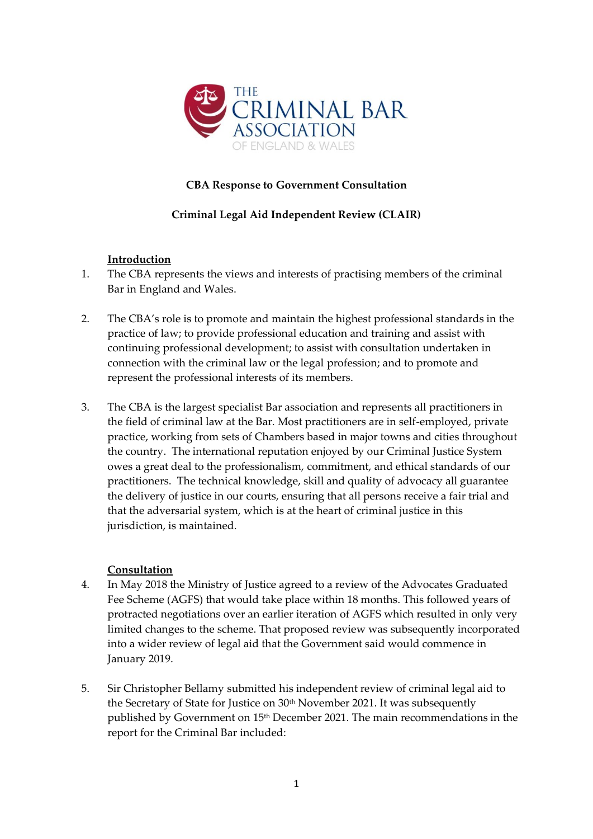

### **CBA Response to Government Consultation**

### **Criminal Legal Aid Independent Review (CLAIR)**

### **Introduction**

- 1. The CBA represents the views and interests of practising members of the criminal Bar in England and Wales.
- 2. The CBA's role is to promote and maintain the highest professional standards in the practice of law; to provide professional education and training and assist with continuing professional development; to assist with consultation undertaken in connection with the criminal law or the legal profession; and to promote and represent the professional interests of its members.
- 3. The CBA is the largest specialist Bar association and represents all practitioners in the field of criminal law at the Bar. Most practitioners are in self-employed, private practice, working from sets of Chambers based in major towns and cities throughout the country. The international reputation enjoyed by our Criminal Justice System owes a great deal to the professionalism, commitment, and ethical standards of our practitioners. The technical knowledge, skill and quality of advocacy all guarantee the delivery of justice in our courts, ensuring that all persons receive a fair trial and that the adversarial system, which is at the heart of criminal justice in this jurisdiction, is maintained.

#### **Consultation**

- 4. In May 2018 the Ministry of Justice agreed to a review of the Advocates Graduated Fee Scheme (AGFS) that would take place within 18 months. This followed years of protracted negotiations over an earlier iteration of AGFS which resulted in only very limited changes to the scheme. That proposed review was subsequently incorporated into a wider review of legal aid that the Government said would commence in January 2019.
- 5. Sir Christopher Bellamy submitted his independent review of criminal legal aid to the Secretary of State for Justice on 30<sup>th</sup> November 2021. It was subsequently published by Government on 15th December 2021. The main recommendations in the report for the Criminal Bar included: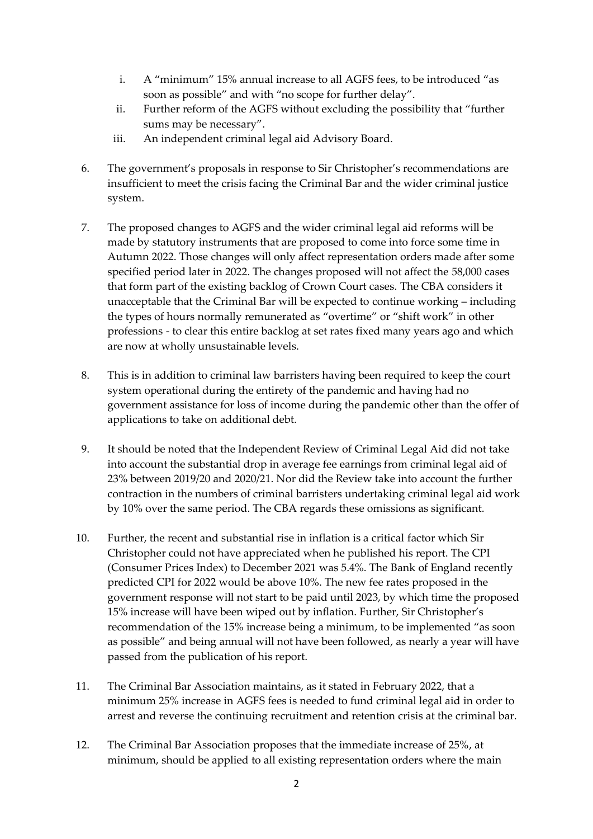- i. A "minimum" 15% annual increase to all AGFS fees, to be introduced "as soon as possible" and with "no scope for further delay".
- ii. Further reform of the AGFS without excluding the possibility that "further sums may be necessary".
- iii. An independent criminal legal aid Advisory Board.
- 6. The government's proposals in response to Sir Christopher's recommendations are insufficient to meet the crisis facing the Criminal Bar and the wider criminal justice system.
- 7. The proposed changes to AGFS and the wider criminal legal aid reforms will be made by statutory instruments that are proposed to come into force some time in Autumn 2022. Those changes will only affect representation orders made after some specified period later in 2022. The changes proposed will not affect the 58,000 cases that form part of the existing backlog of Crown Court cases. The CBA considers it unacceptable that the Criminal Bar will be expected to continue working – including the types of hours normally remunerated as "overtime" or "shift work" in other professions - to clear this entire backlog at set rates fixed many years ago and which are now at wholly unsustainable levels.
- 8. This is in addition to criminal law barristers having been required to keep the court system operational during the entirety of the pandemic and having had no government assistance for loss of income during the pandemic other than the offer of applications to take on additional debt.
- 9. It should be noted that the Independent Review of Criminal Legal Aid did not take into account the substantial drop in average fee earnings from criminal legal aid of 23% between 2019/20 and 2020/21. Nor did the Review take into account the further contraction in the numbers of criminal barristers undertaking criminal legal aid work by 10% over the same period. The CBA regards these omissions as significant.
- 10. Further, the recent and substantial rise in inflation is a critical factor which Sir Christopher could not have appreciated when he published his report. The CPI (Consumer Prices Index) to December 2021 was 5.4%. The Bank of England recently predicted CPI for 2022 would be above 10%. The new fee rates proposed in the government response will not start to be paid until 2023, by which time the proposed 15% increase will have been wiped out by inflation. Further, Sir Christopher's recommendation of the 15% increase being a minimum, to be implemented "as soon as possible" and being annual will not have been followed, as nearly a year will have passed from the publication of his report.
- 11. The Criminal Bar Association maintains, as it stated in February 2022, that a minimum 25% increase in AGFS fees is needed to fund criminal legal aid in order to arrest and reverse the continuing recruitment and retention crisis at the criminal bar.
- 12. The Criminal Bar Association proposes that the immediate increase of 25%, at minimum, should be applied to all existing representation orders where the main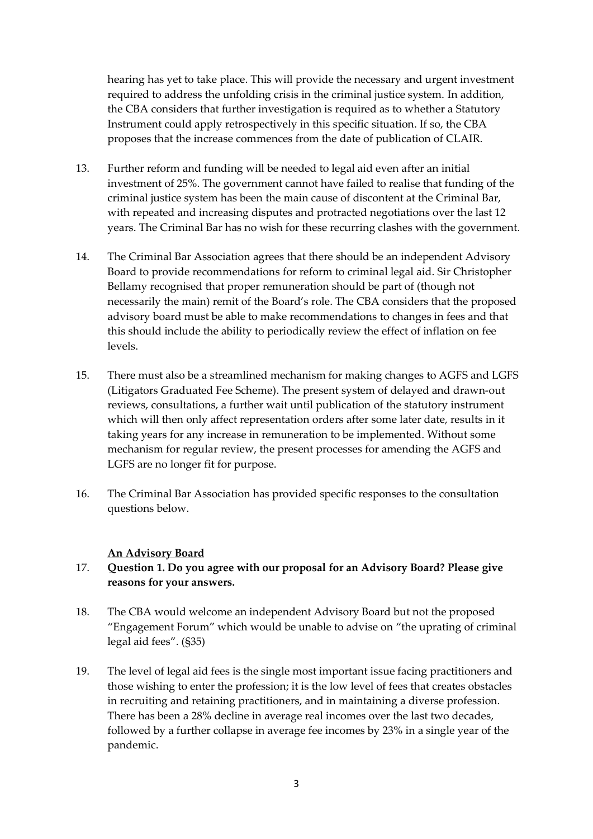hearing has yet to take place. This will provide the necessary and urgent investment required to address the unfolding crisis in the criminal justice system. In addition, the CBA considers that further investigation is required as to whether a Statutory Instrument could apply retrospectively in this specific situation. If so, the CBA proposes that the increase commences from the date of publication of CLAIR.

- 13. Further reform and funding will be needed to legal aid even after an initial investment of 25%. The government cannot have failed to realise that funding of the criminal justice system has been the main cause of discontent at the Criminal Bar, with repeated and increasing disputes and protracted negotiations over the last 12 years. The Criminal Bar has no wish for these recurring clashes with the government.
- 14. The Criminal Bar Association agrees that there should be an independent Advisory Board to provide recommendations for reform to criminal legal aid. Sir Christopher Bellamy recognised that proper remuneration should be part of (though not necessarily the main) remit of the Board's role. The CBA considers that the proposed advisory board must be able to make recommendations to changes in fees and that this should include the ability to periodically review the effect of inflation on fee levels.
- 15. There must also be a streamlined mechanism for making changes to AGFS and LGFS (Litigators Graduated Fee Scheme). The present system of delayed and drawn-out reviews, consultations, a further wait until publication of the statutory instrument which will then only affect representation orders after some later date, results in it taking years for any increase in remuneration to be implemented. Without some mechanism for regular review, the present processes for amending the AGFS and LGFS are no longer fit for purpose.
- 16. The Criminal Bar Association has provided specific responses to the consultation questions below.

#### **An Advisory Board**

#### 17. **Question 1. Do you agree with our proposal for an Advisory Board? Please give reasons for your answers.**

- 18. The CBA would welcome an independent Advisory Board but not the proposed "Engagement Forum" which would be unable to advise on "the uprating of criminal legal aid fees". (§35)
- 19. The level of legal aid fees is the single most important issue facing practitioners and those wishing to enter the profession; it is the low level of fees that creates obstacles in recruiting and retaining practitioners, and in maintaining a diverse profession. There has been a 28% decline in average real incomes over the last two decades, followed by a further collapse in average fee incomes by 23% in a single year of the pandemic.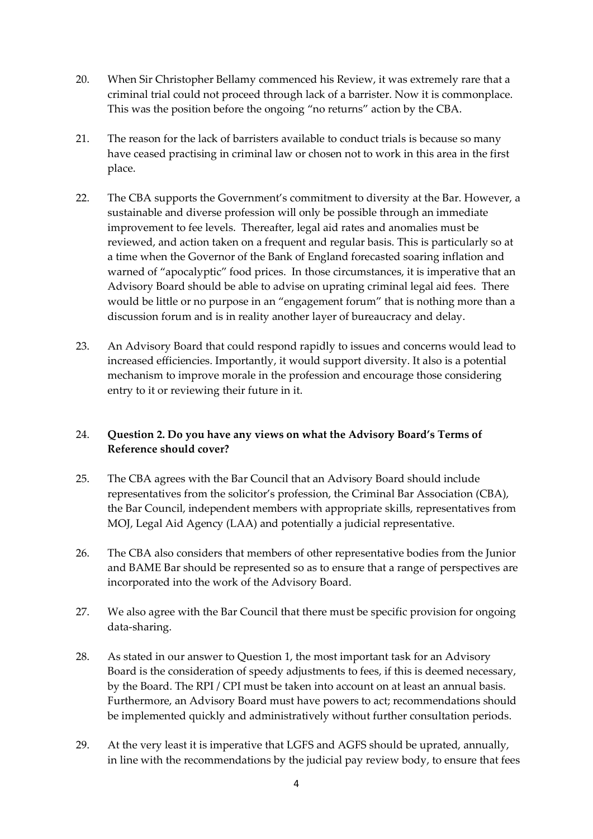- 20. When Sir Christopher Bellamy commenced his Review, it was extremely rare that a criminal trial could not proceed through lack of a barrister. Now it is commonplace. This was the position before the ongoing "no returns" action by the CBA.
- 21. The reason for the lack of barristers available to conduct trials is because so many have ceased practising in criminal law or chosen not to work in this area in the first place.
- 22. The CBA supports the Government's commitment to diversity at the Bar. However, a sustainable and diverse profession will only be possible through an immediate improvement to fee levels. Thereafter, legal aid rates and anomalies must be reviewed, and action taken on a frequent and regular basis. This is particularly so at a time when the Governor of the Bank of England forecasted soaring inflation and warned of "apocalyptic" food prices. In those circumstances, it is imperative that an Advisory Board should be able to advise on uprating criminal legal aid fees. There would be little or no purpose in an "engagement forum" that is nothing more than a discussion forum and is in reality another layer of bureaucracy and delay.
- 23. An Advisory Board that could respond rapidly to issues and concerns would lead to increased efficiencies. Importantly, it would support diversity. It also is a potential mechanism to improve morale in the profession and encourage those considering entry to it or reviewing their future in it.

## 24. **Question 2. Do you have any views on what the Advisory Board's Terms of Reference should cover?**

- 25. The CBA agrees with the Bar Council that an Advisory Board should include representatives from the solicitor's profession, the Criminal Bar Association (CBA), the Bar Council, independent members with appropriate skills, representatives from MOJ, Legal Aid Agency (LAA) and potentially a judicial representative.
- 26. The CBA also considers that members of other representative bodies from the Junior and BAME Bar should be represented so as to ensure that a range of perspectives are incorporated into the work of the Advisory Board.
- 27. We also agree with the Bar Council that there must be specific provision for ongoing data-sharing.
- 28. As stated in our answer to Question 1, the most important task for an Advisory Board is the consideration of speedy adjustments to fees, if this is deemed necessary, by the Board. The RPI / CPI must be taken into account on at least an annual basis. Furthermore, an Advisory Board must have powers to act; recommendations should be implemented quickly and administratively without further consultation periods.
- 29. At the very least it is imperative that LGFS and AGFS should be uprated, annually, in line with the recommendations by the judicial pay review body, to ensure that fees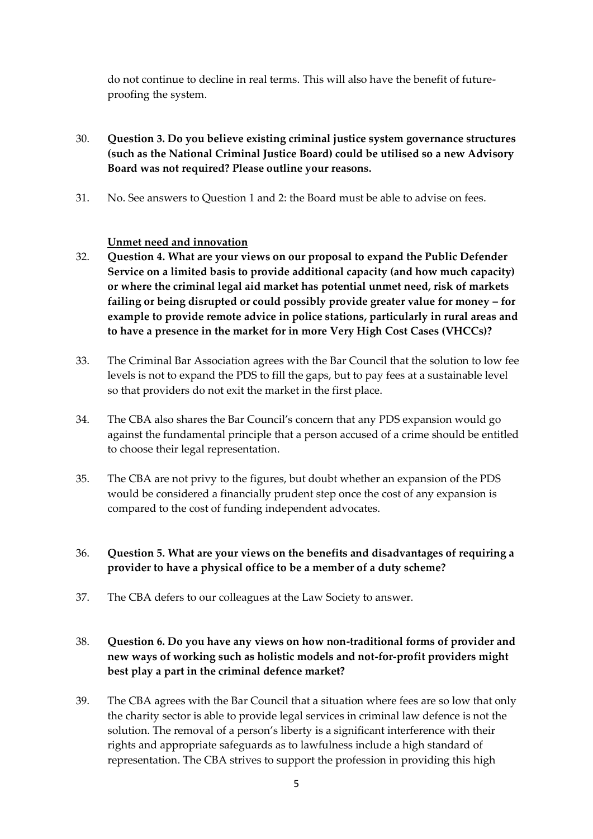do not continue to decline in real terms. This will also have the benefit of futureproofing the system.

- 30. **Question 3. Do you believe existing criminal justice system governance structures (such as the National Criminal Justice Board) could be utilised so a new Advisory Board was not required? Please outline your reasons.**
- 31. No. See answers to Question 1 and 2: the Board must be able to advise on fees.

### **Unmet need and innovation**

- 32. **Question 4. What are your views on our proposal to expand the Public Defender Service on a limited basis to provide additional capacity (and how much capacity) or where the criminal legal aid market has potential unmet need, risk of markets failing or being disrupted or could possibly provide greater value for money – for example to provide remote advice in police stations, particularly in rural areas and to have a presence in the market for in more Very High Cost Cases (VHCCs)?**
- 33. The Criminal Bar Association agrees with the Bar Council that the solution to low fee levels is not to expand the PDS to fill the gaps, but to pay fees at a sustainable level so that providers do not exit the market in the first place.
- 34. The CBA also shares the Bar Council's concern that any PDS expansion would go against the fundamental principle that a person accused of a crime should be entitled to choose their legal representation.
- 35. The CBA are not privy to the figures, but doubt whether an expansion of the PDS would be considered a financially prudent step once the cost of any expansion is compared to the cost of funding independent advocates.

## 36. **Question 5. What are your views on the benefits and disadvantages of requiring a provider to have a physical office to be a member of a duty scheme?**

37. The CBA defers to our colleagues at the Law Society to answer.

# 38. **Question 6. Do you have any views on how non-traditional forms of provider and new ways of working such as holistic models and not-for-profit providers might best play a part in the criminal defence market?**

39. The CBA agrees with the Bar Council that a situation where fees are so low that only the charity sector is able to provide legal services in criminal law defence is not the solution. The removal of a person's liberty is a significant interference with their rights and appropriate safeguards as to lawfulness include a high standard of representation. The CBA strives to support the profession in providing this high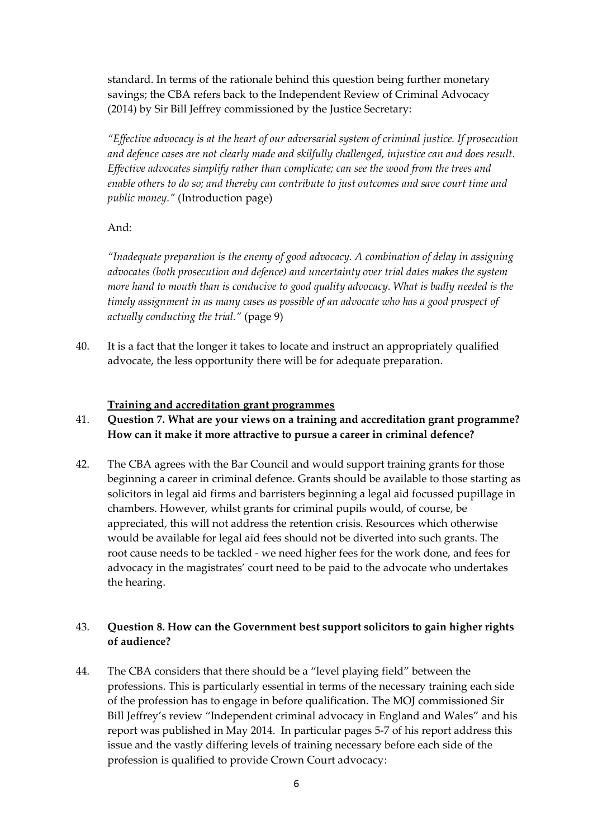standard. In terms of the rationale behind this question being further monetary savings; the CBA refers back to the Independent Review of Criminal Advocacy (2014) by Sir Bill Jeffrey commissioned by the Justice Secretary:

"*Effective advocacy is at the heart of our adversarial system of criminal justice. If prosecution and defence cases are not clearly made and skilfully challenged, injustice can and does result. Effective advocates simplify rather than complicate; can see the wood from the trees and enable others to do so; and thereby can contribute to just outcomes and save court time and public money."* (Introduction page)

#### And:

*"Inadequate preparation is the enemy of good advocacy. A combination of delay in assigning advocates (both prosecution and defence) and uncertainty over trial dates makes the system more hand to mouth than is conducive to good quality advocacy. What is badly needed is the timely assignment in as many cases as possible of an advocate who has a good prospect of actually conducting the trial."* (page 9)

40. It is a fact that the longer it takes to locate and instruct an appropriately qualified advocate, the less opportunity there will be for adequate preparation.

#### **Training and accreditation grant programmes**

- 41. **Question 7. What are your views on a training and accreditation grant programme? How can it make it more attractive to pursue a career in criminal defence?**
- 42. The CBA agrees with the Bar Council and would support training grants for those beginning a career in criminal defence. Grants should be available to those starting as solicitors in legal aid firms and barristers beginning a legal aid focussed pupillage in chambers. However, whilst grants for criminal pupils would, of course, be appreciated, this will not address the retention crisis. Resources which otherwise would be available for legal aid fees should not be diverted into such grants. The root cause needs to be tackled - we need higher fees for the work done, and fees for advocacy in the magistrates' court need to be paid to the advocate who undertakes the hearing.

### 43. **Question 8. How can the Government best support solicitors to gain higher rights of audience?**

44. The CBA considers that there should be a "level playing field" between the professions. This is particularly essential in terms of the necessary training each side of the profession has to engage in before qualification. The MOJ commissioned Sir Bill Jeffrey's review "Independent criminal advocacy in England and Wales" and his report was published in May 2014. In particular pages 5-7 of his report address this issue and the vastly differing levels of training necessary before each side of the profession is qualified to provide Crown Court advocacy: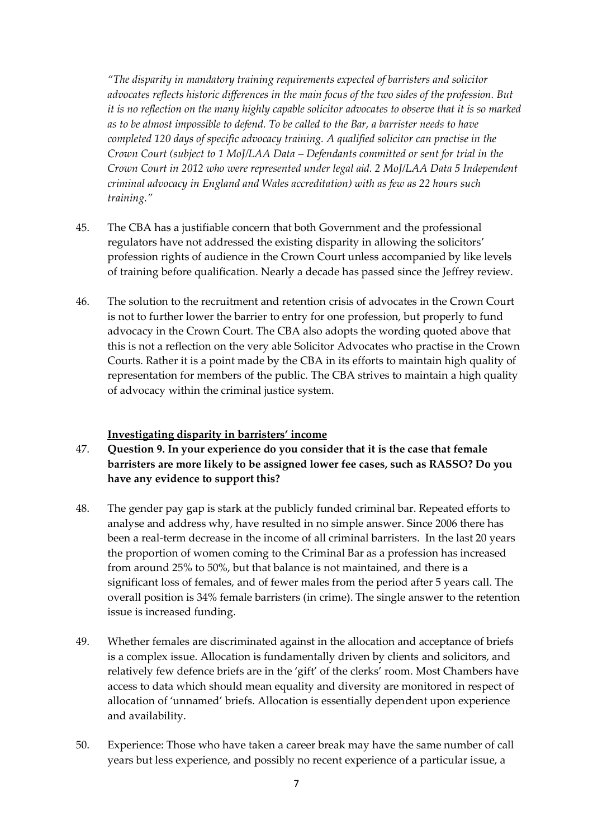*"The disparity in mandatory training requirements expected of barristers and solicitor advocates reflects historic differences in the main focus of the two sides of the profession. But it is no reflection on the many highly capable solicitor advocates to observe that it is so marked as to be almost impossible to defend. To be called to the Bar, a barrister needs to have completed 120 days of specific advocacy training. A qualified solicitor can practise in the Crown Court (subject to 1 MoJ/LAA Data – Defendants committed or sent for trial in the Crown Court in 2012 who were represented under legal aid. 2 MoJ/LAA Data 5 Independent criminal advocacy in England and Wales accreditation) with as few as 22 hours such training."*

- 45. The CBA has a justifiable concern that both Government and the professional regulators have not addressed the existing disparity in allowing the solicitors' profession rights of audience in the Crown Court unless accompanied by like levels of training before qualification. Nearly a decade has passed since the Jeffrey review.
- 46. The solution to the recruitment and retention crisis of advocates in the Crown Court is not to further lower the barrier to entry for one profession, but properly to fund advocacy in the Crown Court. The CBA also adopts the wording quoted above that this is not a reflection on the very able Solicitor Advocates who practise in the Crown Courts. Rather it is a point made by the CBA in its efforts to maintain high quality of representation for members of the public. The CBA strives to maintain a high quality of advocacy within the criminal justice system.

#### **Investigating disparity in barristers' income**

- 47. **Question 9. In your experience do you consider that it is the case that female barristers are more likely to be assigned lower fee cases, such as RASSO? Do you have any evidence to support this?**
- 48. The gender pay gap is stark at the publicly funded criminal bar. Repeated efforts to analyse and address why, have resulted in no simple answer. Since 2006 there has been a real-term decrease in the income of all criminal barristers. In the last 20 years the proportion of women coming to the Criminal Bar as a profession has increased from around 25% to 50%, but that balance is not maintained, and there is a significant loss of females, and of fewer males from the period after 5 years call. The overall position is 34% female barristers (in crime). The single answer to the retention issue is increased funding.
- 49. Whether females are discriminated against in the allocation and acceptance of briefs is a complex issue. Allocation is fundamentally driven by clients and solicitors, and relatively few defence briefs are in the 'gift' of the clerks' room. Most Chambers have access to data which should mean equality and diversity are monitored in respect of allocation of 'unnamed' briefs. Allocation is essentially dependent upon experience and availability.
- 50. Experience: Those who have taken a career break may have the same number of call years but less experience, and possibly no recent experience of a particular issue, a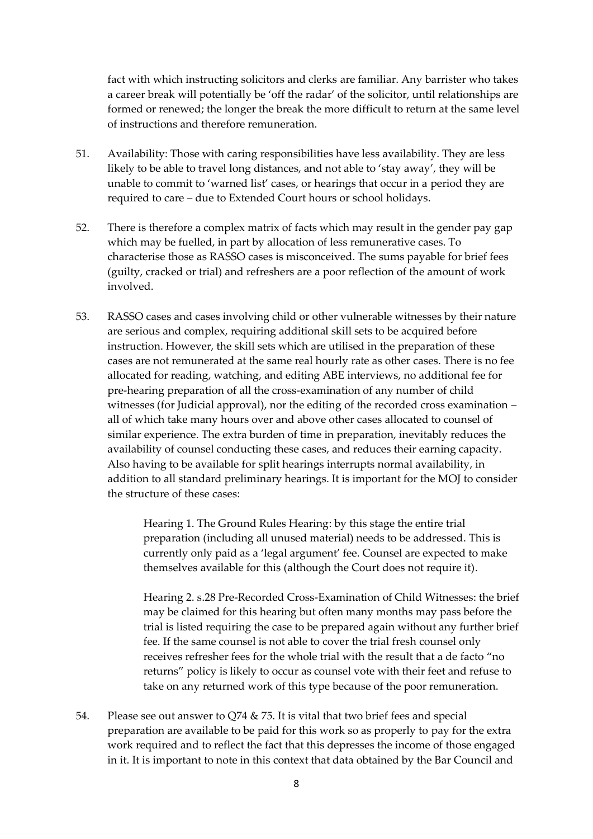fact with which instructing solicitors and clerks are familiar. Any barrister who takes a career break will potentially be 'off the radar' of the solicitor, until relationships are formed or renewed; the longer the break the more difficult to return at the same level of instructions and therefore remuneration.

- 51. Availability: Those with caring responsibilities have less availability. They are less likely to be able to travel long distances, and not able to 'stay away', they will be unable to commit to 'warned list' cases, or hearings that occur in a period they are required to care – due to Extended Court hours or school holidays.
- 52. There is therefore a complex matrix of facts which may result in the gender pay gap which may be fuelled, in part by allocation of less remunerative cases. To characterise those as RASSO cases is misconceived. The sums payable for brief fees (guilty, cracked or trial) and refreshers are a poor reflection of the amount of work involved.
- 53. RASSO cases and cases involving child or other vulnerable witnesses by their nature are serious and complex, requiring additional skill sets to be acquired before instruction. However, the skill sets which are utilised in the preparation of these cases are not remunerated at the same real hourly rate as other cases. There is no fee allocated for reading, watching, and editing ABE interviews, no additional fee for pre-hearing preparation of all the cross-examination of any number of child witnesses (for Judicial approval), nor the editing of the recorded cross examination – all of which take many hours over and above other cases allocated to counsel of similar experience. The extra burden of time in preparation, inevitably reduces the availability of counsel conducting these cases, and reduces their earning capacity. Also having to be available for split hearings interrupts normal availability, in addition to all standard preliminary hearings. It is important for the MOJ to consider the structure of these cases:

Hearing 1. The Ground Rules Hearing: by this stage the entire trial preparation (including all unused material) needs to be addressed. This is currently only paid as a 'legal argument' fee. Counsel are expected to make themselves available for this (although the Court does not require it).

Hearing 2. s.28 Pre-Recorded Cross-Examination of Child Witnesses: the brief may be claimed for this hearing but often many months may pass before the trial is listed requiring the case to be prepared again without any further brief fee. If the same counsel is not able to cover the trial fresh counsel only receives refresher fees for the whole trial with the result that a de facto "no returns" policy is likely to occur as counsel vote with their feet and refuse to take on any returned work of this type because of the poor remuneration.

54. Please see out answer to Q74 & 75. It is vital that two brief fees and special preparation are available to be paid for this work so as properly to pay for the extra work required and to reflect the fact that this depresses the income of those engaged in it. It is important to note in this context that data obtained by the Bar Council and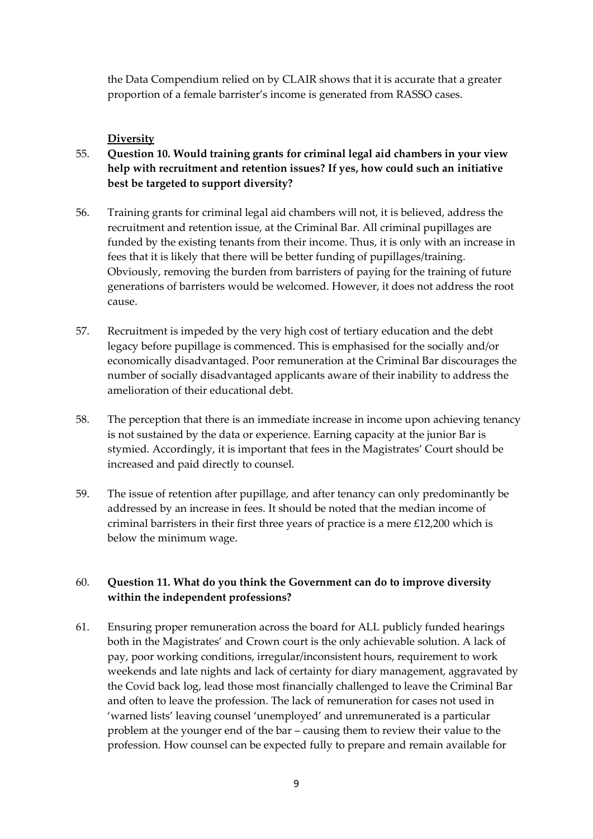the Data Compendium relied on by CLAIR shows that it is accurate that a greater proportion of a female barrister's income is generated from RASSO cases.

### **Diversity**

- 55. **Question 10. Would training grants for criminal legal aid chambers in your view help with recruitment and retention issues? If yes, how could such an initiative best be targeted to support diversity?**
- 56. Training grants for criminal legal aid chambers will not, it is believed, address the recruitment and retention issue, at the Criminal Bar. All criminal pupillages are funded by the existing tenants from their income. Thus, it is only with an increase in fees that it is likely that there will be better funding of pupillages/training. Obviously, removing the burden from barristers of paying for the training of future generations of barristers would be welcomed. However, it does not address the root cause.
- 57. Recruitment is impeded by the very high cost of tertiary education and the debt legacy before pupillage is commenced. This is emphasised for the socially and/or economically disadvantaged. Poor remuneration at the Criminal Bar discourages the number of socially disadvantaged applicants aware of their inability to address the amelioration of their educational debt.
- 58. The perception that there is an immediate increase in income upon achieving tenancy is not sustained by the data or experience. Earning capacity at the junior Bar is stymied. Accordingly, it is important that fees in the Magistrates' Court should be increased and paid directly to counsel.
- 59. The issue of retention after pupillage, and after tenancy can only predominantly be addressed by an increase in fees. It should be noted that the median income of criminal barristers in their first three years of practice is a mere £12,200 which is below the minimum wage.

## 60. **Question 11. What do you think the Government can do to improve diversity within the independent professions?**

61. Ensuring proper remuneration across the board for ALL publicly funded hearings both in the Magistrates' and Crown court is the only achievable solution. A lack of pay, poor working conditions, irregular/inconsistent hours, requirement to work weekends and late nights and lack of certainty for diary management, aggravated by the Covid back log, lead those most financially challenged to leave the Criminal Bar and often to leave the profession. The lack of remuneration for cases not used in 'warned lists' leaving counsel 'unemployed' and unremunerated is a particular problem at the younger end of the bar – causing them to review their value to the profession. How counsel can be expected fully to prepare and remain available for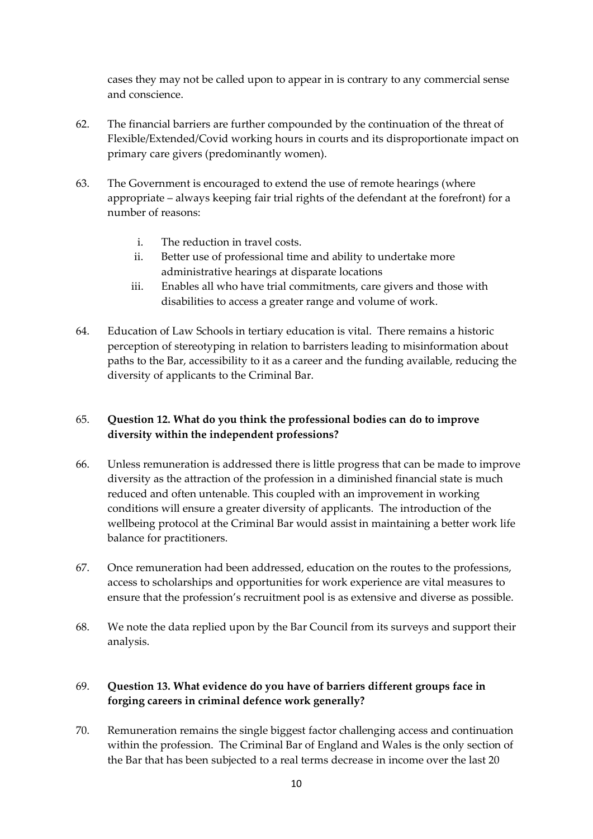cases they may not be called upon to appear in is contrary to any commercial sense and conscience.

- 62. The financial barriers are further compounded by the continuation of the threat of Flexible/Extended/Covid working hours in courts and its disproportionate impact on primary care givers (predominantly women).
- 63. The Government is encouraged to extend the use of remote hearings (where appropriate – always keeping fair trial rights of the defendant at the forefront) for a number of reasons:
	- i. The reduction in travel costs.
	- ii. Better use of professional time and ability to undertake more administrative hearings at disparate locations
	- iii. Enables all who have trial commitments, care givers and those with disabilities to access a greater range and volume of work.
- 64. Education of Law Schools in tertiary education is vital. There remains a historic perception of stereotyping in relation to barristers leading to misinformation about paths to the Bar, accessibility to it as a career and the funding available, reducing the diversity of applicants to the Criminal Bar.

# 65. **Question 12. What do you think the professional bodies can do to improve diversity within the independent professions?**

- 66. Unless remuneration is addressed there is little progress that can be made to improve diversity as the attraction of the profession in a diminished financial state is much reduced and often untenable. This coupled with an improvement in working conditions will ensure a greater diversity of applicants. The introduction of the wellbeing protocol at the Criminal Bar would assist in maintaining a better work life balance for practitioners.
- 67. Once remuneration had been addressed, education on the routes to the professions, access to scholarships and opportunities for work experience are vital measures to ensure that the profession's recruitment pool is as extensive and diverse as possible.
- 68. We note the data replied upon by the Bar Council from its surveys and support their analysis.

# 69. **Question 13. What evidence do you have of barriers different groups face in forging careers in criminal defence work generally?**

70. Remuneration remains the single biggest factor challenging access and continuation within the profession. The Criminal Bar of England and Wales is the only section of the Bar that has been subjected to a real terms decrease in income over the last 20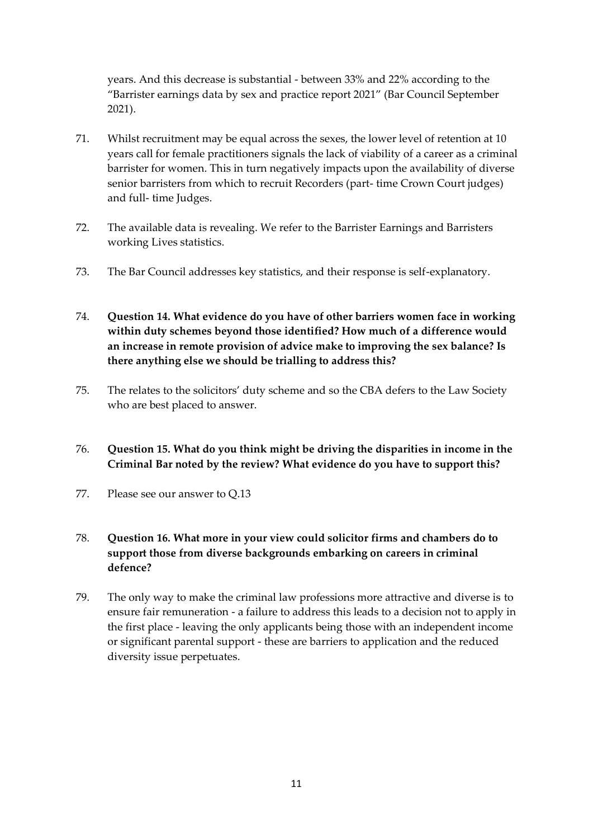years. And this decrease is substantial - between 33% and 22% according to the "Barrister earnings data by sex and practice report 2021" (Bar Council September 2021).

- 71. Whilst recruitment may be equal across the sexes, the lower level of retention at 10 years call for female practitioners signals the lack of viability of a career as a criminal barrister for women. This in turn negatively impacts upon the availability of diverse senior barristers from which to recruit Recorders (part- time Crown Court judges) and full- time Judges.
- 72. The available data is revealing. We refer to the Barrister Earnings and Barristers working Lives statistics.
- 73. The Bar Council addresses key statistics, and their response is self-explanatory.
- 74. **Question 14. What evidence do you have of other barriers women face in working within duty schemes beyond those identified? How much of a difference would an increase in remote provision of advice make to improving the sex balance? Is there anything else we should be trialling to address this?**
- 75. The relates to the solicitors' duty scheme and so the CBA defers to the Law Society who are best placed to answer.
- 76. **Question 15. What do you think might be driving the disparities in income in the Criminal Bar noted by the review? What evidence do you have to support this?**
- 77. Please see our answer to Q.13

# 78. **Question 16. What more in your view could solicitor firms and chambers do to support those from diverse backgrounds embarking on careers in criminal defence?**

79. The only way to make the criminal law professions more attractive and diverse is to ensure fair remuneration - a failure to address this leads to a decision not to apply in the first place - leaving the only applicants being those with an independent income or significant parental support - these are barriers to application and the reduced diversity issue perpetuates.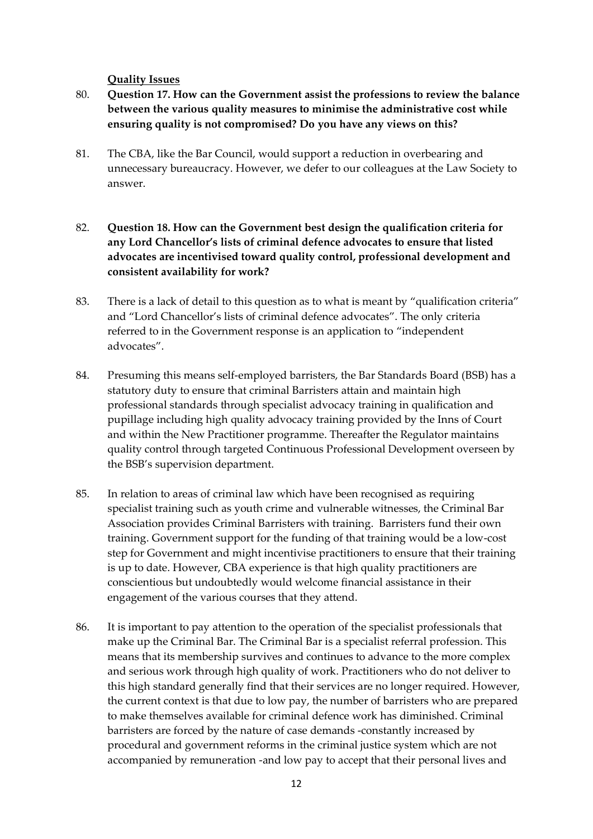**Quality Issues**

- 80. **Question 17. How can the Government assist the professions to review the balance between the various quality measures to minimise the administrative cost while ensuring quality is not compromised? Do you have any views on this?**
- 81. The CBA, like the Bar Council, would support a reduction in overbearing and unnecessary bureaucracy. However, we defer to our colleagues at the Law Society to answer.
- 82. **Question 18. How can the Government best design the qualification criteria for any Lord Chancellor's lists of criminal defence advocates to ensure that listed advocates are incentivised toward quality control, professional development and consistent availability for work?**
- 83. There is a lack of detail to this question as to what is meant by "qualification criteria" and "Lord Chancellor's lists of criminal defence advocates". The only criteria referred to in the Government response is an application to "independent advocates".
- 84. Presuming this means self-employed barristers, the Bar Standards Board (BSB) has a statutory duty to ensure that criminal Barristers attain and maintain high professional standards through specialist advocacy training in qualification and pupillage including high quality advocacy training provided by the Inns of Court and within the New Practitioner programme. Thereafter the Regulator maintains quality control through targeted Continuous Professional Development overseen by the BSB's supervision department.
- 85. In relation to areas of criminal law which have been recognised as requiring specialist training such as youth crime and vulnerable witnesses, the Criminal Bar Association provides Criminal Barristers with training. Barristers fund their own training. Government support for the funding of that training would be a low-cost step for Government and might incentivise practitioners to ensure that their training is up to date. However, CBA experience is that high quality practitioners are conscientious but undoubtedly would welcome financial assistance in their engagement of the various courses that they attend.
- 86. It is important to pay attention to the operation of the specialist professionals that make up the Criminal Bar. The Criminal Bar is a specialist referral profession. This means that its membership survives and continues to advance to the more complex and serious work through high quality of work. Practitioners who do not deliver to this high standard generally find that their services are no longer required. However, the current context is that due to low pay, the number of barristers who are prepared to make themselves available for criminal defence work has diminished. Criminal barristers are forced by the nature of case demands -constantly increased by procedural and government reforms in the criminal justice system which are not accompanied by remuneration -and low pay to accept that their personal lives and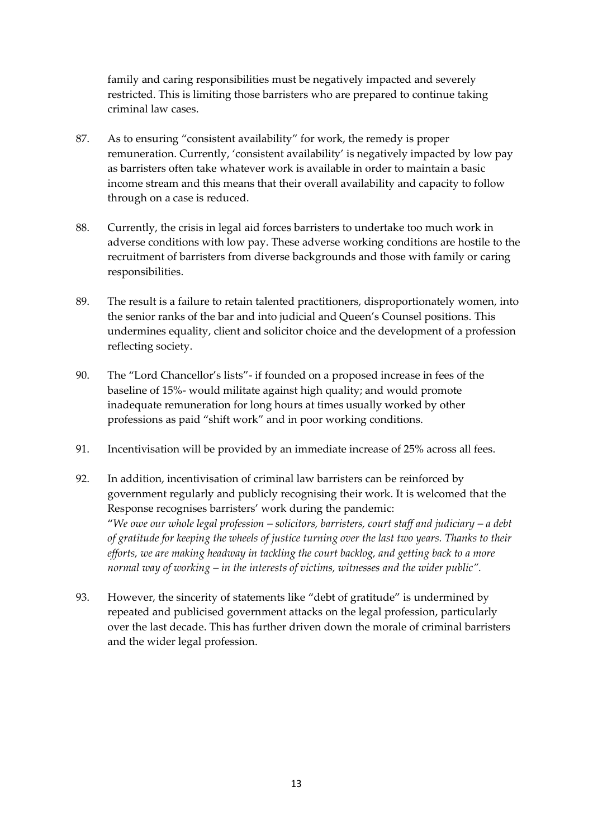family and caring responsibilities must be negatively impacted and severely restricted. This is limiting those barristers who are prepared to continue taking criminal law cases.

- 87. As to ensuring "consistent availability" for work, the remedy is proper remuneration. Currently, 'consistent availability' is negatively impacted by low pay as barristers often take whatever work is available in order to maintain a basic income stream and this means that their overall availability and capacity to follow through on a case is reduced.
- 88. Currently, the crisis in legal aid forces barristers to undertake too much work in adverse conditions with low pay. These adverse working conditions are hostile to the recruitment of barristers from diverse backgrounds and those with family or caring responsibilities.
- 89. The result is a failure to retain talented practitioners, disproportionately women, into the senior ranks of the bar and into judicial and Queen's Counsel positions. This undermines equality, client and solicitor choice and the development of a profession reflecting society.
- 90. The "Lord Chancellor's lists"- if founded on a proposed increase in fees of the baseline of 15%- would militate against high quality; and would promote inadequate remuneration for long hours at times usually worked by other professions as paid "shift work" and in poor working conditions.
- 91. Incentivisation will be provided by an immediate increase of 25% across all fees.
- 92. In addition, incentivisation of criminal law barristers can be reinforced by government regularly and publicly recognising their work. It is welcomed that the Response recognises barristers' work during the pandemic: "*We owe our whole legal profession – solicitors, barristers, court staff and judiciary – a debt of gratitude for keeping the wheels of justice turning over the last two years. Thanks to their efforts, we are making headway in tackling the court backlog, and getting back to a more normal way of working – in the interests of victims, witnesses and the wider public".*
- 93. However, the sincerity of statements like "debt of gratitude" is undermined by repeated and publicised government attacks on the legal profession, particularly over the last decade. This has further driven down the morale of criminal barristers and the wider legal profession.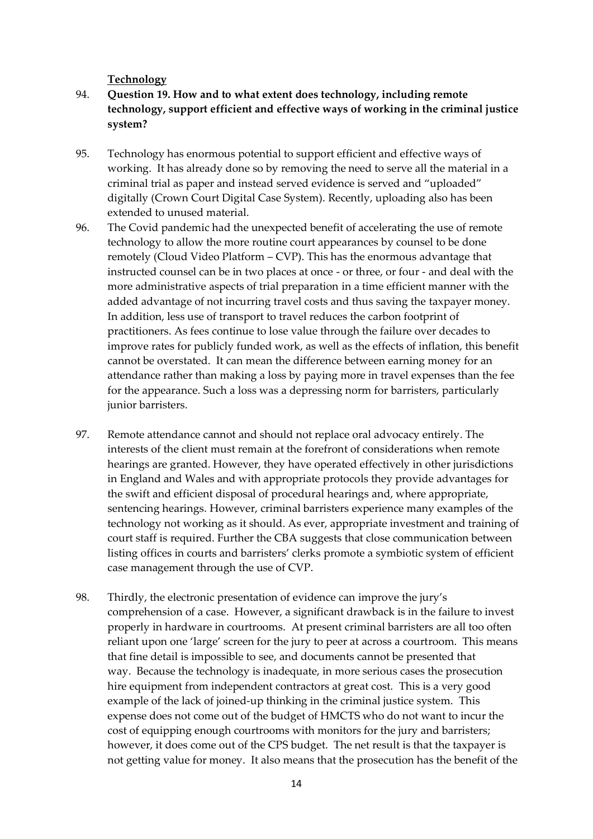#### **Technology**

- 94. **Question 19. How and to what extent does technology, including remote technology, support efficient and effective ways of working in the criminal justice system?**
- 95. Technology has enormous potential to support efficient and effective ways of working. It has already done so by removing the need to serve all the material in a criminal trial as paper and instead served evidence is served and "uploaded" digitally (Crown Court Digital Case System). Recently, uploading also has been extended to unused material.
- 96. The Covid pandemic had the unexpected benefit of accelerating the use of remote technology to allow the more routine court appearances by counsel to be done remotely (Cloud Video Platform – CVP). This has the enormous advantage that instructed counsel can be in two places at once - or three, or four - and deal with the more administrative aspects of trial preparation in a time efficient manner with the added advantage of not incurring travel costs and thus saving the taxpayer money. In addition, less use of transport to travel reduces the carbon footprint of practitioners. As fees continue to lose value through the failure over decades to improve rates for publicly funded work, as well as the effects of inflation, this benefit cannot be overstated. It can mean the difference between earning money for an attendance rather than making a loss by paying more in travel expenses than the fee for the appearance. Such a loss was a depressing norm for barristers, particularly junior barristers.
- 97. Remote attendance cannot and should not replace oral advocacy entirely. The interests of the client must remain at the forefront of considerations when remote hearings are granted. However, they have operated effectively in other jurisdictions in England and Wales and with appropriate protocols they provide advantages for the swift and efficient disposal of procedural hearings and, where appropriate, sentencing hearings. However, criminal barristers experience many examples of the technology not working as it should. As ever, appropriate investment and training of court staff is required. Further the CBA suggests that close communication between listing offices in courts and barristers' clerks promote a symbiotic system of efficient case management through the use of CVP.
- 98. Thirdly, the electronic presentation of evidence can improve the jury's comprehension of a case. However, a significant drawback is in the failure to invest properly in hardware in courtrooms. At present criminal barristers are all too often reliant upon one 'large' screen for the jury to peer at across a courtroom. This means that fine detail is impossible to see, and documents cannot be presented that way. Because the technology is inadequate, in more serious cases the prosecution hire equipment from independent contractors at great cost. This is a very good example of the lack of joined-up thinking in the criminal justice system. This expense does not come out of the budget of HMCTS who do not want to incur the cost of equipping enough courtrooms with monitors for the jury and barristers; however, it does come out of the CPS budget. The net result is that the taxpayer is not getting value for money. It also means that the prosecution has the benefit of the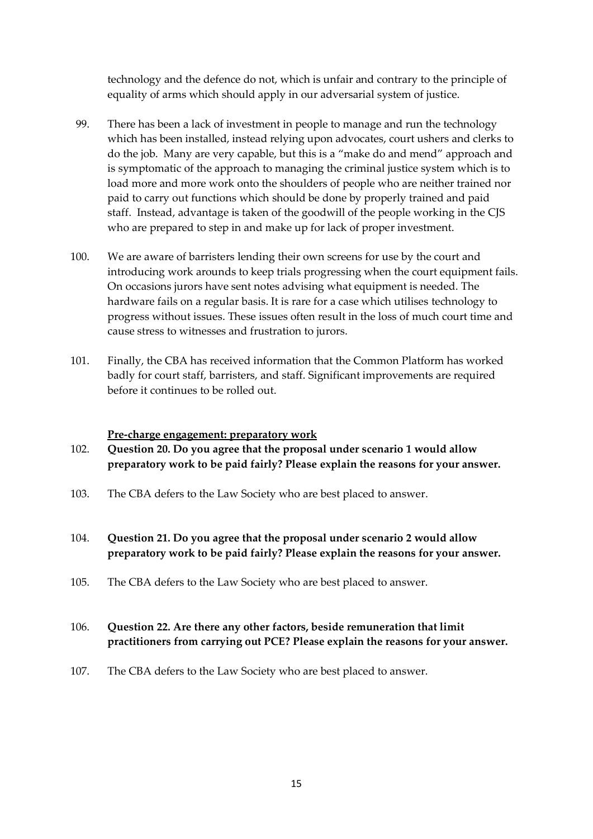technology and the defence do not, which is unfair and contrary to the principle of equality of arms which should apply in our adversarial system of justice.

- 99. There has been a lack of investment in people to manage and run the technology which has been installed, instead relying upon advocates, court ushers and clerks to do the job. Many are very capable, but this is a "make do and mend" approach and is symptomatic of the approach to managing the criminal justice system which is to load more and more work onto the shoulders of people who are neither trained nor paid to carry out functions which should be done by properly trained and paid staff. Instead, advantage is taken of the goodwill of the people working in the CJS who are prepared to step in and make up for lack of proper investment.
- 100. We are aware of barristers lending their own screens for use by the court and introducing work arounds to keep trials progressing when the court equipment fails. On occasions jurors have sent notes advising what equipment is needed. The hardware fails on a regular basis. It is rare for a case which utilises technology to progress without issues. These issues often result in the loss of much court time and cause stress to witnesses and frustration to jurors.
- 101. Finally, the CBA has received information that the Common Platform has worked badly for court staff, barristers, and staff. Significant improvements are required before it continues to be rolled out.

#### **Pre-charge engagement: preparatory work**

- 102. **Question 20. Do you agree that the proposal under scenario 1 would allow preparatory work to be paid fairly? Please explain the reasons for your answer.**
- 103. The CBA defers to the Law Society who are best placed to answer.
- 104. **Question 21. Do you agree that the proposal under scenario 2 would allow preparatory work to be paid fairly? Please explain the reasons for your answer.**
- 105. The CBA defers to the Law Society who are best placed to answer.

## 106. **Question 22. Are there any other factors, beside remuneration that limit practitioners from carrying out PCE? Please explain the reasons for your answer.**

107. The CBA defers to the Law Society who are best placed to answer.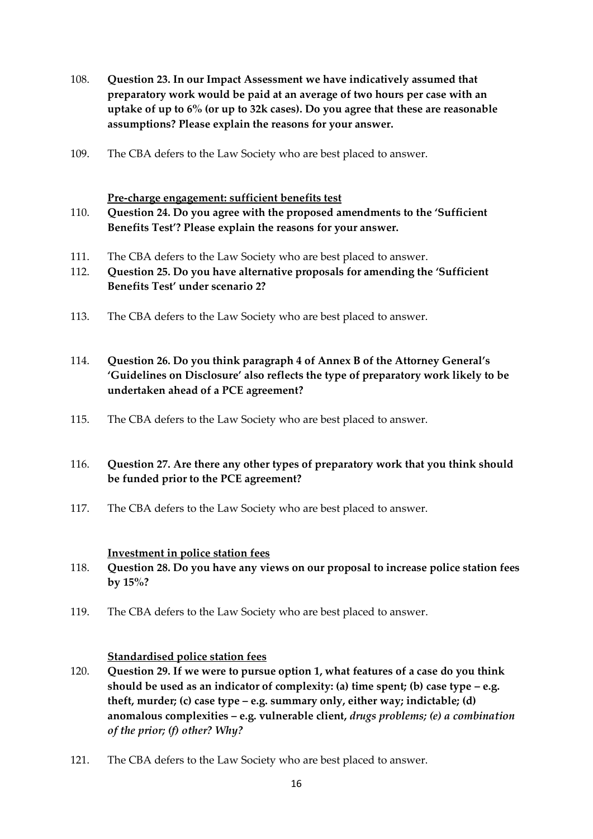- 108. **Question 23. In our Impact Assessment we have indicatively assumed that preparatory work would be paid at an average of two hours per case with an uptake of up to 6% (or up to 32k cases). Do you agree that these are reasonable assumptions? Please explain the reasons for your answer.**
- 109. The CBA defers to the Law Society who are best placed to answer.

#### **Pre-charge engagement: sufficient benefits test**

- 110. **Question 24. Do you agree with the proposed amendments to the 'Sufficient Benefits Test'? Please explain the reasons for your answer.**
- 111. The CBA defers to the Law Society who are best placed to answer.
- 112. **Question 25. Do you have alternative proposals for amending the 'Sufficient Benefits Test' under scenario 2?**
- 113. The CBA defers to the Law Society who are best placed to answer.
- 114. **Question 26. Do you think paragraph 4 of Annex B of the Attorney General's 'Guidelines on Disclosure' also reflects the type of preparatory work likely to be undertaken ahead of a PCE agreement?**
- 115. The CBA defers to the Law Society who are best placed to answer.

## 116. **Question 27. Are there any other types of preparatory work that you think should be funded prior to the PCE agreement?**

117. The CBA defers to the Law Society who are best placed to answer.

#### **Investment in police station fees**

- 118. **Question 28. Do you have any views on our proposal to increase police station fees by 15%?**
- 119. The CBA defers to the Law Society who are best placed to answer.

#### **Standardised police station fees**

- 120. **Question 29. If we were to pursue option 1, what features of a case do you think should be used as an indicator of complexity: (a) time spent; (b) case type – e.g. theft, murder; (c) case type – e.g. summary only, either way; indictable; (d) anomalous complexities – e.g. vulnerable client,** *drugs problems; (e) a combination of the prior; (f) other? Why?*
- 121. The CBA defers to the Law Society who are best placed to answer.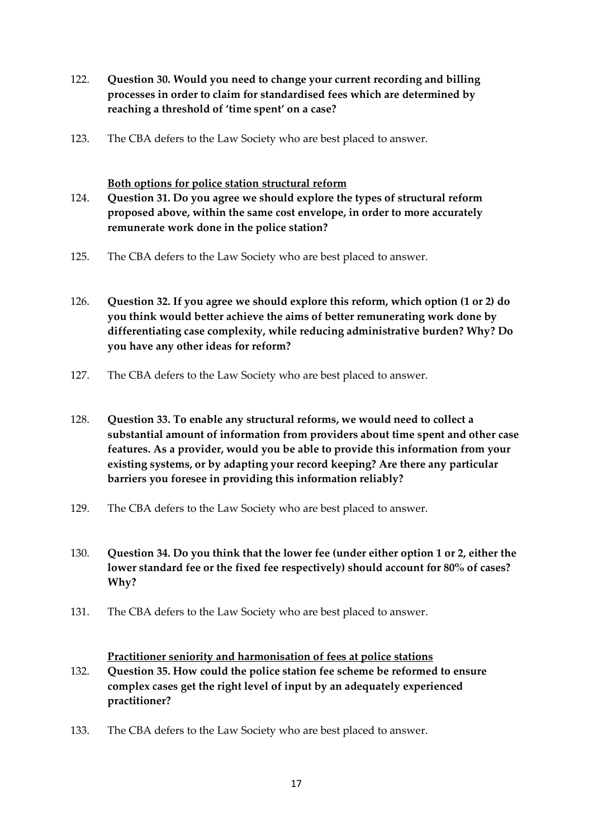- 122. **Question 30. Would you need to change your current recording and billing processes in order to claim for standardised fees which are determined by reaching a threshold of 'time spent' on a case?**
- 123. The CBA defers to the Law Society who are best placed to answer.

### **Both options for police station structural reform**

- 124. **Question 31. Do you agree we should explore the types of structural reform proposed above, within the same cost envelope, in order to more accurately remunerate work done in the police station?**
- 125. The CBA defers to the Law Society who are best placed to answer.
- 126. **Question 32. If you agree we should explore this reform, which option (1 or 2) do you think would better achieve the aims of better remunerating work done by differentiating case complexity, while reducing administrative burden? Why? Do you have any other ideas for reform?**
- 127. The CBA defers to the Law Society who are best placed to answer.
- 128. **Question 33. To enable any structural reforms, we would need to collect a substantial amount of information from providers about time spent and other case features. As a provider, would you be able to provide this information from your existing systems, or by adapting your record keeping? Are there any particular barriers you foresee in providing this information reliably?**
- 129. The CBA defers to the Law Society who are best placed to answer.
- 130. **Question 34. Do you think that the lower fee (under either option 1 or 2, either the lower standard fee or the fixed fee respectively) should account for 80% of cases? Why?**
- 131. The CBA defers to the Law Society who are best placed to answer.

#### **Practitioner seniority and harmonisation of fees at police stations**

- 132. **Question 35. How could the police station fee scheme be reformed to ensure complex cases get the right level of input by an adequately experienced practitioner?**
- 133. The CBA defers to the Law Society who are best placed to answer.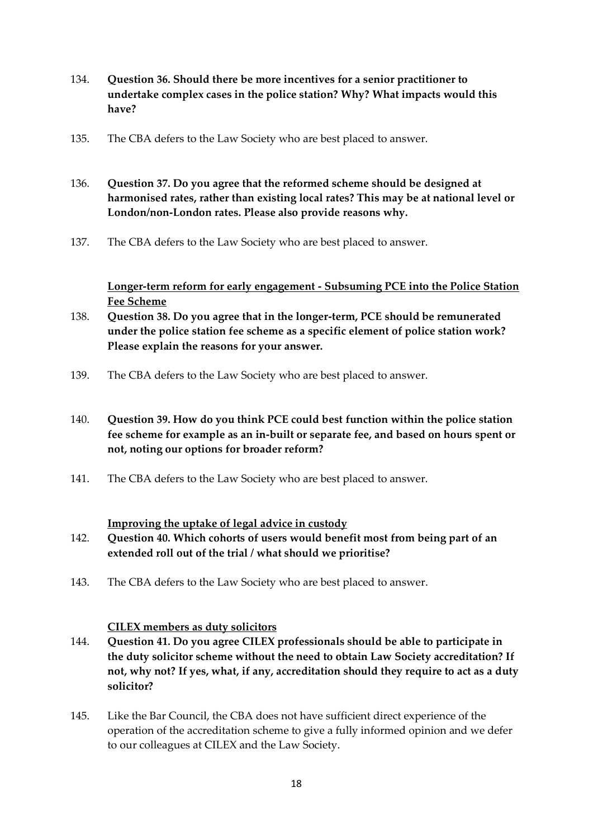- 134. **Question 36. Should there be more incentives for a senior practitioner to undertake complex cases in the police station? Why? What impacts would this have?**
- 135. The CBA defers to the Law Society who are best placed to answer.
- 136. **Question 37. Do you agree that the reformed scheme should be designed at harmonised rates, rather than existing local rates? This may be at national level or London/non-London rates. Please also provide reasons why.**
- 137. The CBA defers to the Law Society who are best placed to answer.

**Longer-term reform for early engagement - Subsuming PCE into the Police Station Fee Scheme**

- 138. **Question 38. Do you agree that in the longer-term, PCE should be remunerated under the police station fee scheme as a specific element of police station work? Please explain the reasons for your answer.**
- 139. The CBA defers to the Law Society who are best placed to answer.
- 140. **Question 39. How do you think PCE could best function within the police station fee scheme for example as an in-built or separate fee, and based on hours spent or not, noting our options for broader reform?**
- 141. The CBA defers to the Law Society who are best placed to answer.

#### **Improving the uptake of legal advice in custody**

- 142. **Question 40. Which cohorts of users would benefit most from being part of an extended roll out of the trial / what should we prioritise?**
- 143. The CBA defers to the Law Society who are best placed to answer.

#### **CILEX members as duty solicitors**

- 144. **Question 41. Do you agree CILEX professionals should be able to participate in the duty solicitor scheme without the need to obtain Law Society accreditation? If not, why not? If yes, what, if any, accreditation should they require to act as a duty solicitor?**
- 145. Like the Bar Council, the CBA does not have sufficient direct experience of the operation of the accreditation scheme to give a fully informed opinion and we defer to our colleagues at CILEX and the Law Society.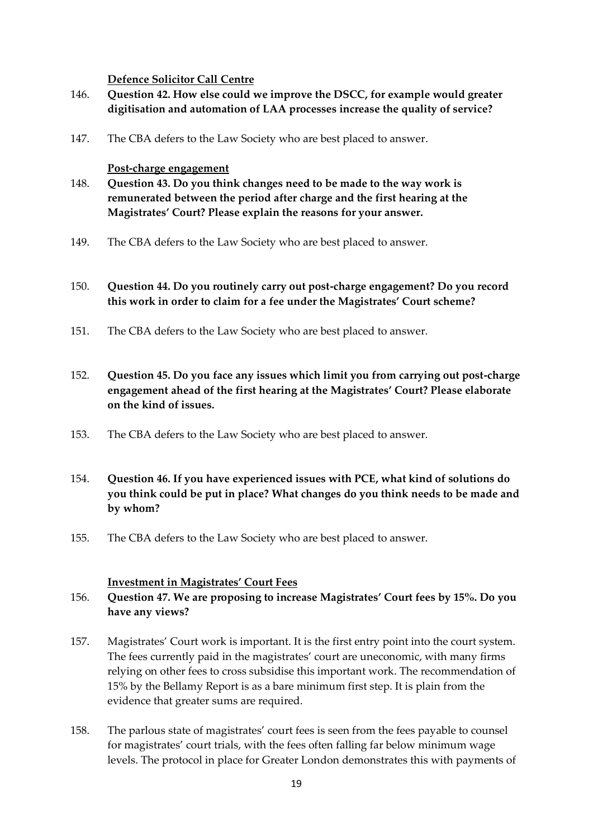#### **Defence Solicitor Call Centre**

- 146. **Question 42. How else could we improve the DSCC, for example would greater digitisation and automation of LAA processes increase the quality of service?**
- 147. The CBA defers to the Law Society who are best placed to answer.

#### **Post-charge engagement**

- 148. **Question 43. Do you think changes need to be made to the way work is remunerated between the period after charge and the first hearing at the Magistrates' Court? Please explain the reasons for your answer.**
- 149. The CBA defers to the Law Society who are best placed to answer.

### 150. **Question 44. Do you routinely carry out post-charge engagement? Do you record this work in order to claim for a fee under the Magistrates' Court scheme?**

- 151. The CBA defers to the Law Society who are best placed to answer.
- 152. **Question 45. Do you face any issues which limit you from carrying out post-charge engagement ahead of the first hearing at the Magistrates' Court? Please elaborate on the kind of issues.**
- 153. The CBA defers to the Law Society who are best placed to answer.
- 154. **Question 46. If you have experienced issues with PCE, what kind of solutions do you think could be put in place? What changes do you think needs to be made and by whom?**
- 155. The CBA defers to the Law Society who are best placed to answer.

#### **Investment in Magistrates' Court Fees**

# 156. **Question 47. We are proposing to increase Magistrates' Court fees by 15%. Do you have any views?**

- 157. Magistrates' Court work is important. It is the first entry point into the court system. The fees currently paid in the magistrates' court are uneconomic, with many firms relying on other fees to cross subsidise this important work. The recommendation of 15% by the Bellamy Report is as a bare minimum first step. It is plain from the evidence that greater sums are required.
- 158. The parlous state of magistrates' court fees is seen from the fees payable to counsel for magistrates' court trials, with the fees often falling far below minimum wage levels. The protocol in place for Greater London demonstrates this with payments of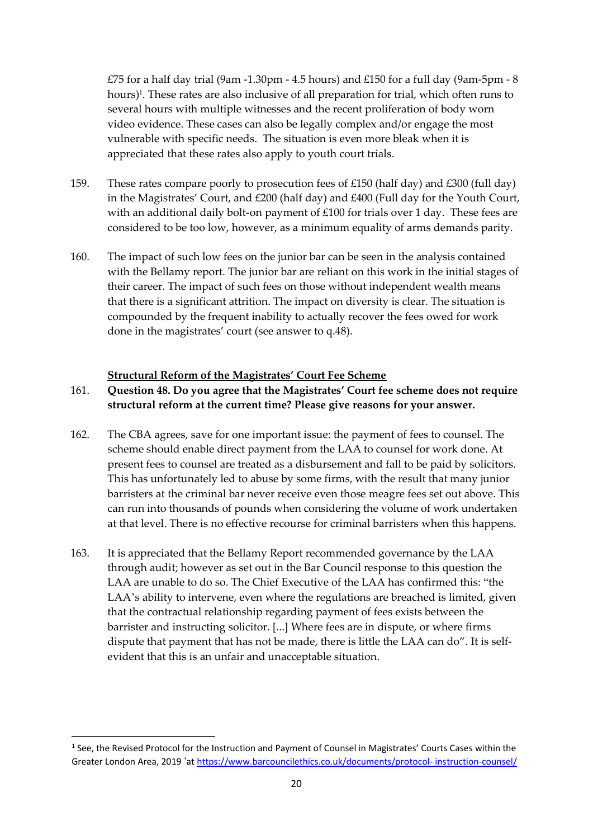£75 for a half day trial (9am -1.30pm - 4.5 hours) and £150 for a full day (9am-5pm - 8 hours)<sup>1</sup>. These rates are also inclusive of all preparation for trial, which often runs to several hours with multiple witnesses and the recent proliferation of body worn video evidence. These cases can also be legally complex and/or engage the most vulnerable with specific needs. The situation is even more bleak when it is appreciated that these rates also apply to youth court trials.

- 159. These rates compare poorly to prosecution fees of £150 (half day) and £300 (full day) in the Magistrates' Court, and £200 (half day) and £400 (Full day for the Youth Court, with an additional daily bolt-on payment of £100 for trials over 1 day. These fees are considered to be too low, however, as a minimum equality of arms demands parity.
- 160. The impact of such low fees on the junior bar can be seen in the analysis contained with the Bellamy report. The junior bar are reliant on this work in the initial stages of their career. The impact of such fees on those without independent wealth means that there is a significant attrition. The impact on diversity is clear. The situation is compounded by the frequent inability to actually recover the fees owed for work done in the magistrates' court (see answer to q.48).

#### **Structural Reform of the Magistrates' Court Fee Scheme**

## 161. **Question 48. Do you agree that the Magistrates' Court fee scheme does not require structural reform at the current time? Please give reasons for your answer.**

- 162. The CBA agrees, save for one important issue: the payment of fees to counsel. The scheme should enable direct payment from the LAA to counsel for work done. At present fees to counsel are treated as a disbursement and fall to be paid by solicitors. This has unfortunately led to abuse by some firms, with the result that many junior barristers at the criminal bar never receive even those meagre fees set out above. This can run into thousands of pounds when considering the volume of work undertaken at that level. There is no effective recourse for criminal barristers when this happens.
- 163. It is appreciated that the Bellamy Report recommended governance by the LAA through audit; however as set out in the Bar Council response to this question the LAA are unable to do so. The Chief Executive of the LAA has confirmed this: "the LAA's ability to intervene, even where the regulations are breached is limited, given that the contractual relationship regarding payment of fees exists between the barrister and instructing solicitor. [...] Where fees are in dispute, or where firms dispute that payment that has not be made, there is little the LAA can do". It is selfevident that this is an unfair and unacceptable situation.

<sup>1</sup> See, the Revised Protocol for the Instruction and Payment of Counsel in Magistrates' Courts Cases within the Greater London Area, 2019 'at [https://www.barcouncilethics.co.uk/documents/protocol-](https://www.barcouncilethics.co.uk/documents/protocol-%20instruction-counsel/) instruction-counsel/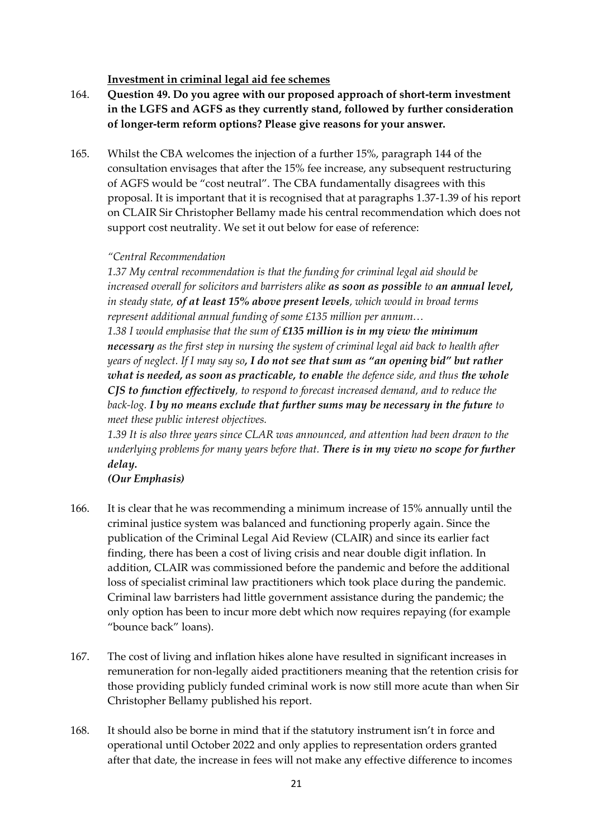#### **Investment in criminal legal aid fee schemes**

- 164. **Question 49. Do you agree with our proposed approach of short-term investment in the LGFS and AGFS as they currently stand, followed by further consideration of longer-term reform options? Please give reasons for your answer.**
- 165. Whilst the CBA welcomes the injection of a further 15%, paragraph 144 of the consultation envisages that after the 15% fee increase, any subsequent restructuring of AGFS would be "cost neutral". The CBA fundamentally disagrees with this proposal. It is important that it is recognised that at paragraphs 1.37-1.39 of his report on CLAIR Sir Christopher Bellamy made his central recommendation which does not support cost neutrality. We set it out below for ease of reference:

### *"Central Recommendation*

*1.37 My central recommendation is that the funding for criminal legal aid should be increased overall for solicitors and barristers alike as soon as possible to an annual level, in steady state, of at least 15% above present levels, which would in broad terms represent additional annual funding of some £135 million per annum…*

*1.38 I would emphasise that the sum of £135 million is in my view the minimum necessary as the first step in nursing the system of criminal legal aid back to health after years of neglect. If I may say so, I do not see that sum as "an opening bid" but rather what is needed, as soon as practicable, to enable the defence side, and thus the whole CJS to function effectively, to respond to forecast increased demand, and to reduce the back-log. I by no means exclude that further sums may be necessary in the future to meet these public interest objectives.*

*1.39 It is also three years since CLAR was announced, and attention had been drawn to the underlying problems for many years before that. There is in my view no scope for further delay.*

## *(Our Emphasis)*

- 166. It is clear that he was recommending a minimum increase of 15% annually until the criminal justice system was balanced and functioning properly again. Since the publication of the Criminal Legal Aid Review (CLAIR) and since its earlier fact finding, there has been a cost of living crisis and near double digit inflation. In addition, CLAIR was commissioned before the pandemic and before the additional loss of specialist criminal law practitioners which took place during the pandemic. Criminal law barristers had little government assistance during the pandemic; the only option has been to incur more debt which now requires repaying (for example "bounce back" loans).
- 167. The cost of living and inflation hikes alone have resulted in significant increases in remuneration for non-legally aided practitioners meaning that the retention crisis for those providing publicly funded criminal work is now still more acute than when Sir Christopher Bellamy published his report.
- 168. It should also be borne in mind that if the statutory instrument isn't in force and operational until October 2022 and only applies to representation orders granted after that date, the increase in fees will not make any effective difference to incomes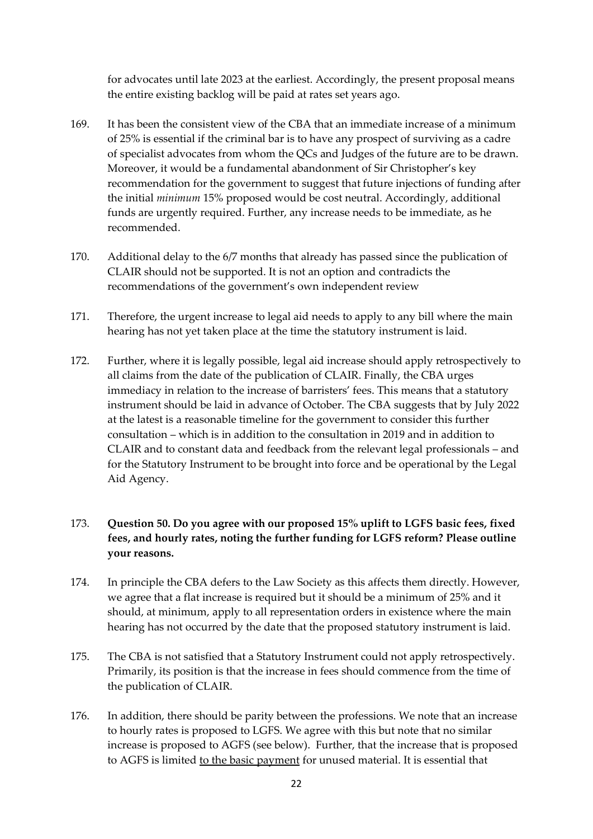for advocates until late 2023 at the earliest. Accordingly, the present proposal means the entire existing backlog will be paid at rates set years ago.

- 169. It has been the consistent view of the CBA that an immediate increase of a minimum of 25% is essential if the criminal bar is to have any prospect of surviving as a cadre of specialist advocates from whom the QCs and Judges of the future are to be drawn. Moreover, it would be a fundamental abandonment of Sir Christopher's key recommendation for the government to suggest that future injections of funding after the initial *minimum* 15% proposed would be cost neutral. Accordingly, additional funds are urgently required. Further, any increase needs to be immediate, as he recommended.
- 170. Additional delay to the 6/7 months that already has passed since the publication of CLAIR should not be supported. It is not an option and contradicts the recommendations of the government's own independent review
- 171. Therefore, the urgent increase to legal aid needs to apply to any bill where the main hearing has not yet taken place at the time the statutory instrument is laid.
- 172. Further, where it is legally possible, legal aid increase should apply retrospectively to all claims from the date of the publication of CLAIR. Finally, the CBA urges immediacy in relation to the increase of barristers' fees. This means that a statutory instrument should be laid in advance of October. The CBA suggests that by July 2022 at the latest is a reasonable timeline for the government to consider this further consultation – which is in addition to the consultation in 2019 and in addition to CLAIR and to constant data and feedback from the relevant legal professionals – and for the Statutory Instrument to be brought into force and be operational by the Legal Aid Agency.

# 173. **Question 50. Do you agree with our proposed 15% uplift to LGFS basic fees, fixed fees, and hourly rates, noting the further funding for LGFS reform? Please outline your reasons.**

- 174. In principle the CBA defers to the Law Society as this affects them directly. However, we agree that a flat increase is required but it should be a minimum of 25% and it should, at minimum, apply to all representation orders in existence where the main hearing has not occurred by the date that the proposed statutory instrument is laid.
- 175. The CBA is not satisfied that a Statutory Instrument could not apply retrospectively. Primarily, its position is that the increase in fees should commence from the time of the publication of CLAIR.
- 176. In addition, there should be parity between the professions. We note that an increase to hourly rates is proposed to LGFS. We agree with this but note that no similar increase is proposed to AGFS (see below). Further, that the increase that is proposed to AGFS is limited to the basic payment for unused material. It is essential that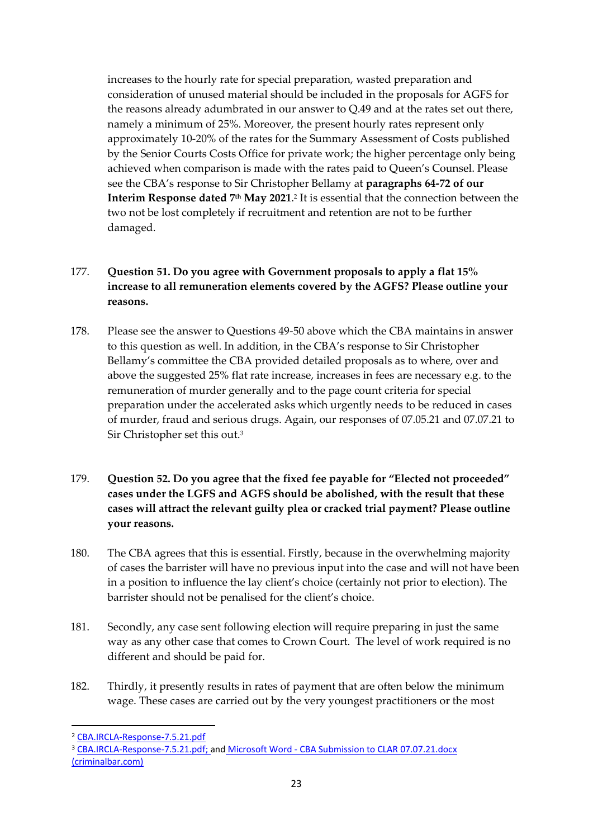increases to the hourly rate for special preparation, wasted preparation and consideration of unused material should be included in the proposals for AGFS for the reasons already adumbrated in our answer to Q.49 and at the rates set out there, namely a minimum of 25%. Moreover, the present hourly rates represent only approximately 10-20% of the rates for the Summary Assessment of Costs published by the Senior Courts Costs Office for private work; the higher percentage only being achieved when comparison is made with the rates paid to Queen's Counsel. Please see the CBA's response to Sir Christopher Bellamy at **paragraphs 64-72 of our Interim Response dated 7<sup>th</sup> May 2021.**<sup>2</sup> It is essential that the connection between the two not be lost completely if recruitment and retention are not to be further damaged.

# 177. **Question 51. Do you agree with Government proposals to apply a flat 15% increase to all remuneration elements covered by the AGFS? Please outline your reasons.**

- 178. Please see the answer to Questions 49-50 above which the CBA maintains in answer to this question as well. In addition, in the CBA's response to Sir Christopher Bellamy's committee the CBA provided detailed proposals as to where, over and above the suggested 25% flat rate increase, increases in fees are necessary e.g. to the remuneration of murder generally and to the page count criteria for special preparation under the accelerated asks which urgently needs to be reduced in cases of murder, fraud and serious drugs. Again, our responses of 07.05.21 and 07.07.21 to Sir Christopher set this out.<sup>3</sup>
- 179. **Question 52. Do you agree that the fixed fee payable for "Elected not proceeded" cases under the LGFS and AGFS should be abolished, with the result that these cases will attract the relevant guilty plea or cracked trial payment? Please outline your reasons.**
- 180. The CBA agrees that this is essential. Firstly, because in the overwhelming majority of cases the barrister will have no previous input into the case and will not have been in a position to influence the lay client's choice (certainly not prior to election). The barrister should not be penalised for the client's choice.
- 181. Secondly, any case sent following election will require preparing in just the same way as any other case that comes to Crown Court. The level of work required is no different and should be paid for.
- 182. Thirdly, it presently results in rates of payment that are often below the minimum wage. These cases are carried out by the very youngest practitioners or the most

<sup>2</sup> [CBA.IRCLA-Response-7.5.21.pdf](file:///D:/Desktop/CBA%20response%20re%20Bellamy/CBA.IRCLA-Response-7.5.21.pdf)

<sup>&</sup>lt;sup>3</sup> [CBA.IRCLA-Response-7.5.21.pdf;](file:///D:/Desktop/CBA%20response%20re%20Bellamy/CBA.IRCLA-Response-7.5.21.pdf) and Microsoft Word - CBA Submission to CLAR 07.07.21.docx [\(criminalbar.com\)](https://www.criminalbar.com/wp-content/uploads/2021/07/CBA-Submission-to-CLAR-07.07.21.pdf)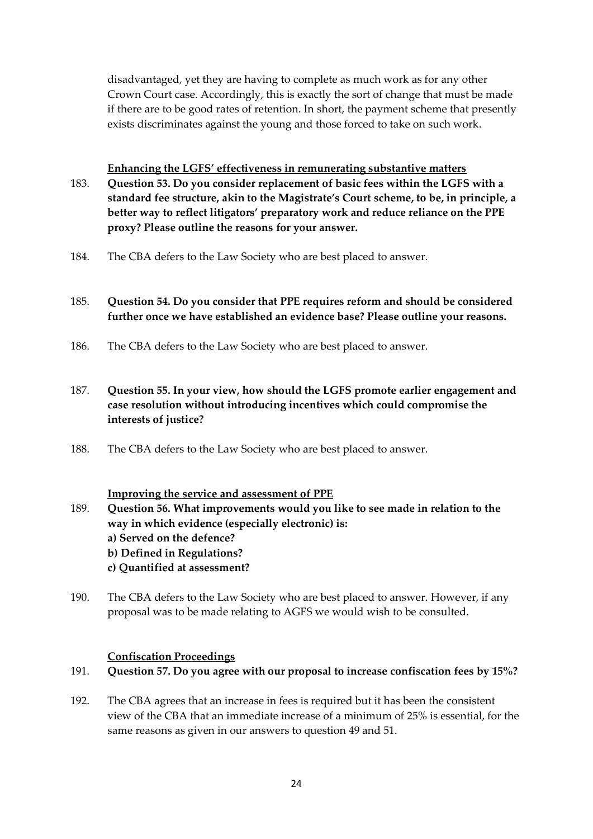disadvantaged, yet they are having to complete as much work as for any other Crown Court case. Accordingly, this is exactly the sort of change that must be made if there are to be good rates of retention. In short, the payment scheme that presently exists discriminates against the young and those forced to take on such work.

**Enhancing the LGFS' effectiveness in remunerating substantive matters** 183. **Question 53. Do you consider replacement of basic fees within the LGFS with a standard fee structure, akin to the Magistrate's Court scheme, to be, in principle, a better way to reflect litigators' preparatory work and reduce reliance on the PPE proxy? Please outline the reasons for your answer.**

184. The CBA defers to the Law Society who are best placed to answer.

## 185. **Question 54. Do you consider that PPE requires reform and should be considered further once we have established an evidence base? Please outline your reasons.**

186. The CBA defers to the Law Society who are best placed to answer.

# 187. **Question 55. In your view, how should the LGFS promote earlier engagement and case resolution without introducing incentives which could compromise the interests of justice?**

188. The CBA defers to the Law Society who are best placed to answer.

#### **Improving the service and assessment of PPE**

- 189. **Question 56. What improvements would you like to see made in relation to the way in which evidence (especially electronic) is: a) Served on the defence? b) Defined in Regulations? c) Quantified at assessment?**
- 190. The CBA defers to the Law Society who are best placed to answer. However, if any proposal was to be made relating to AGFS we would wish to be consulted.

### **Confiscation Proceedings**

- 191. **Question 57. Do you agree with our proposal to increase confiscation fees by 15%?**
- 192. The CBA agrees that an increase in fees is required but it has been the consistent view of the CBA that an immediate increase of a minimum of 25% is essential, for the same reasons as given in our answers to question 49 and 51.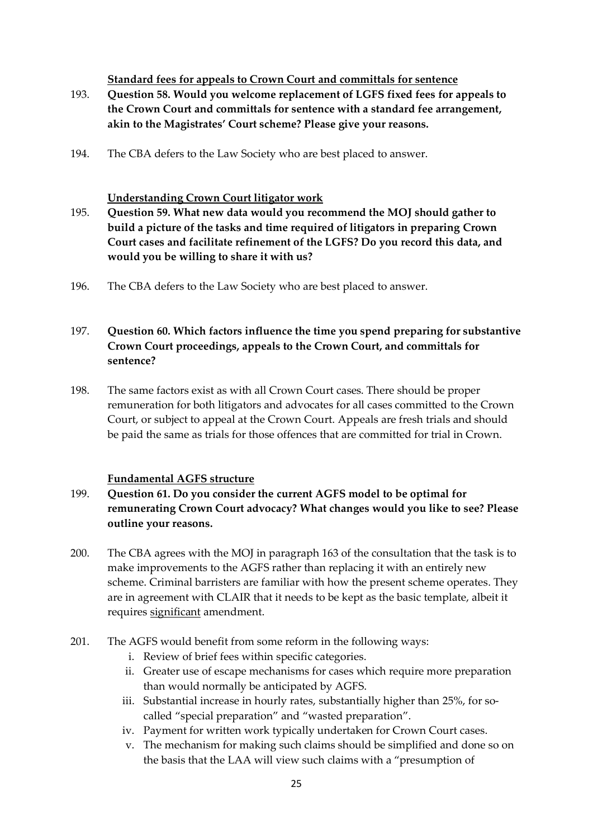### **Standard fees for appeals to Crown Court and committals for sentence**

- 193. **Question 58. Would you welcome replacement of LGFS fixed fees for appeals to the Crown Court and committals for sentence with a standard fee arrangement, akin to the Magistrates' Court scheme? Please give your reasons.**
- 194. The CBA defers to the Law Society who are best placed to answer.

### **Understanding Crown Court litigator work**

- 195. **Question 59. What new data would you recommend the MOJ should gather to build a picture of the tasks and time required of litigators in preparing Crown Court cases and facilitate refinement of the LGFS? Do you record this data, and would you be willing to share it with us?**
- 196. The CBA defers to the Law Society who are best placed to answer.

# 197. **Question 60. Which factors influence the time you spend preparing for substantive Crown Court proceedings, appeals to the Crown Court, and committals for sentence?**

198. The same factors exist as with all Crown Court cases. There should be proper remuneration for both litigators and advocates for all cases committed to the Crown Court, or subject to appeal at the Crown Court. Appeals are fresh trials and should be paid the same as trials for those offences that are committed for trial in Crown.

## **Fundamental AGFS structure**

- 199. **Question 61. Do you consider the current AGFS model to be optimal for remunerating Crown Court advocacy? What changes would you like to see? Please outline your reasons.**
- 200. The CBA agrees with the MOJ in paragraph 163 of the consultation that the task is to make improvements to the AGFS rather than replacing it with an entirely new scheme. Criminal barristers are familiar with how the present scheme operates. They are in agreement with CLAIR that it needs to be kept as the basic template, albeit it requires significant amendment.
- 201. The AGFS would benefit from some reform in the following ways:
	- i. Review of brief fees within specific categories.
	- ii. Greater use of escape mechanisms for cases which require more preparation than would normally be anticipated by AGFS.
	- iii. Substantial increase in hourly rates, substantially higher than 25%, for socalled "special preparation" and "wasted preparation".
	- iv. Payment for written work typically undertaken for Crown Court cases.
	- v. The mechanism for making such claims should be simplified and done so on the basis that the LAA will view such claims with a "presumption of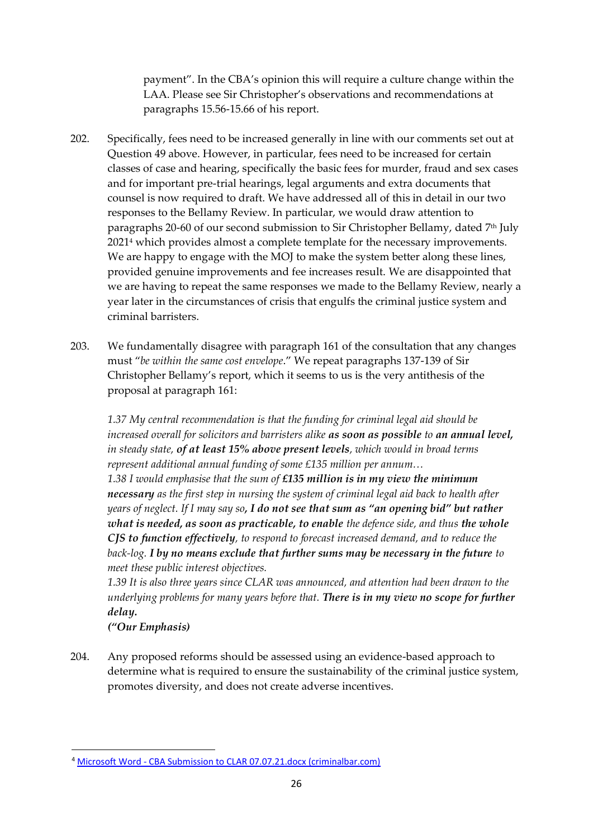payment". In the CBA's opinion this will require a culture change within the LAA. Please see Sir Christopher's observations and recommendations at paragraphs 15.56-15.66 of his report.

- 202. Specifically, fees need to be increased generally in line with our comments set out at Question 49 above. However, in particular, fees need to be increased for certain classes of case and hearing, specifically the basic fees for murder, fraud and sex cases and for important pre-trial hearings, legal arguments and extra documents that counsel is now required to draft. We have addressed all of this in detail in our two responses to the Bellamy Review. In particular, we would draw attention to paragraphs 20-60 of our second submission to Sir Christopher Bellamy, dated 7<sup>th</sup> July 2021<sup>4</sup> which provides almost a complete template for the necessary improvements. We are happy to engage with the MOJ to make the system better along these lines, provided genuine improvements and fee increases result. We are disappointed that we are having to repeat the same responses we made to the Bellamy Review, nearly a year later in the circumstances of crisis that engulfs the criminal justice system and criminal barristers.
- 203. We fundamentally disagree with paragraph 161 of the consultation that any changes must "*be within the same cost envelope*." We repeat paragraphs 137-139 of Sir Christopher Bellamy's report, which it seems to us is the very antithesis of the proposal at paragraph 161:

*1.37 My central recommendation is that the funding for criminal legal aid should be increased overall for solicitors and barristers alike as soon as possible to an annual level, in steady state, of at least 15% above present levels, which would in broad terms represent additional annual funding of some £135 million per annum… 1.38 I would emphasise that the sum of £135 million is in my view the minimum necessary as the first step in nursing the system of criminal legal aid back to health after years of neglect. If I may say so, I do not see that sum as "an opening bid" but rather what is needed, as soon as practicable, to enable the defence side, and thus the whole* 

*CJS to function effectively, to respond to forecast increased demand, and to reduce the back-log. I by no means exclude that further sums may be necessary in the future to meet these public interest objectives.*

*1.39 It is also three years since CLAR was announced, and attention had been drawn to the underlying problems for many years before that. There is in my view no scope for further delay.*

*("Our Emphasis)*

204. Any proposed reforms should be assessed using an evidence-based approach to determine what is required to ensure the sustainability of the criminal justice system, promotes diversity, and does not create adverse incentives.

<sup>4</sup> Microsoft Word - [CBA Submission to CLAR 07.07.21.docx \(criminalbar.com\)](https://www.criminalbar.com/wp-content/uploads/2021/07/CBA-Submission-to-CLAR-07.07.21.pdf)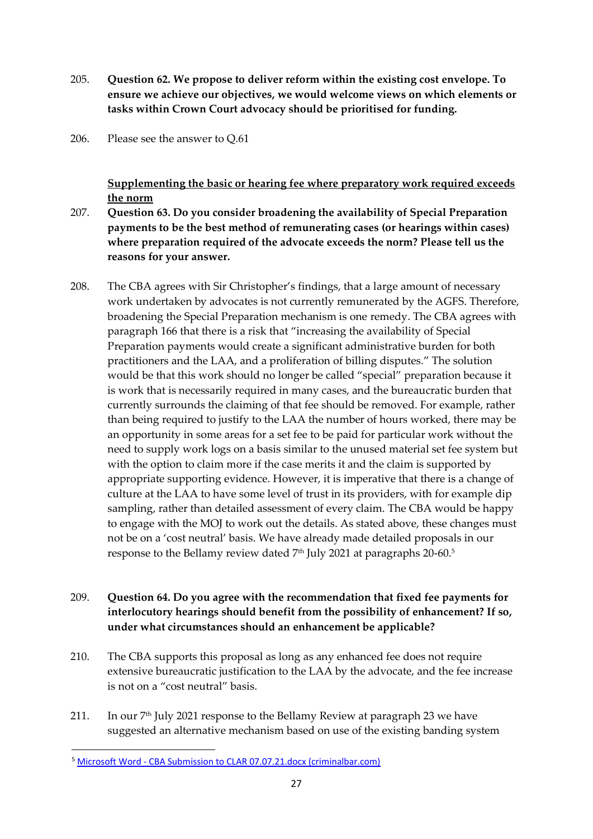- 205. **Question 62. We propose to deliver reform within the existing cost envelope. To ensure we achieve our objectives, we would welcome views on which elements or tasks within Crown Court advocacy should be prioritised for funding.**
- 206. Please see the answer to Q.61

**Supplementing the basic or hearing fee where preparatory work required exceeds the norm**

- 207. **Question 63. Do you consider broadening the availability of Special Preparation payments to be the best method of remunerating cases (or hearings within cases) where preparation required of the advocate exceeds the norm? Please tell us the reasons for your answer.**
- 208. The CBA agrees with Sir Christopher's findings, that a large amount of necessary work undertaken by advocates is not currently remunerated by the AGFS. Therefore, broadening the Special Preparation mechanism is one remedy. The CBA agrees with paragraph 166 that there is a risk that "increasing the availability of Special Preparation payments would create a significant administrative burden for both practitioners and the LAA, and a proliferation of billing disputes." The solution would be that this work should no longer be called "special" preparation because it is work that is necessarily required in many cases, and the bureaucratic burden that currently surrounds the claiming of that fee should be removed. For example, rather than being required to justify to the LAA the number of hours worked, there may be an opportunity in some areas for a set fee to be paid for particular work without the need to supply work logs on a basis similar to the unused material set fee system but with the option to claim more if the case merits it and the claim is supported by appropriate supporting evidence. However, it is imperative that there is a change of culture at the LAA to have some level of trust in its providers, with for example dip sampling, rather than detailed assessment of every claim. The CBA would be happy to engage with the MOJ to work out the details. As stated above, these changes must not be on a 'cost neutral' basis. We have already made detailed proposals in our response to the Bellamy review dated 7<sup>th</sup> July 2021 at paragraphs 20-60.<sup>5</sup>

# 209. **Question 64. Do you agree with the recommendation that fixed fee payments for interlocutory hearings should benefit from the possibility of enhancement? If so, under what circumstances should an enhancement be applicable?**

- 210. The CBA supports this proposal as long as any enhanced fee does not require extensive bureaucratic justification to the LAA by the advocate, and the fee increase is not on a "cost neutral" basis.
- 211. In our 7th July 2021 response to the Bellamy Review at paragraph 23 we have suggested an alternative mechanism based on use of the existing banding system

<sup>5</sup> Microsoft Word - [CBA Submission to CLAR 07.07.21.docx \(criminalbar.com\)](https://www.criminalbar.com/wp-content/uploads/2021/07/CBA-Submission-to-CLAR-07.07.21.pdf)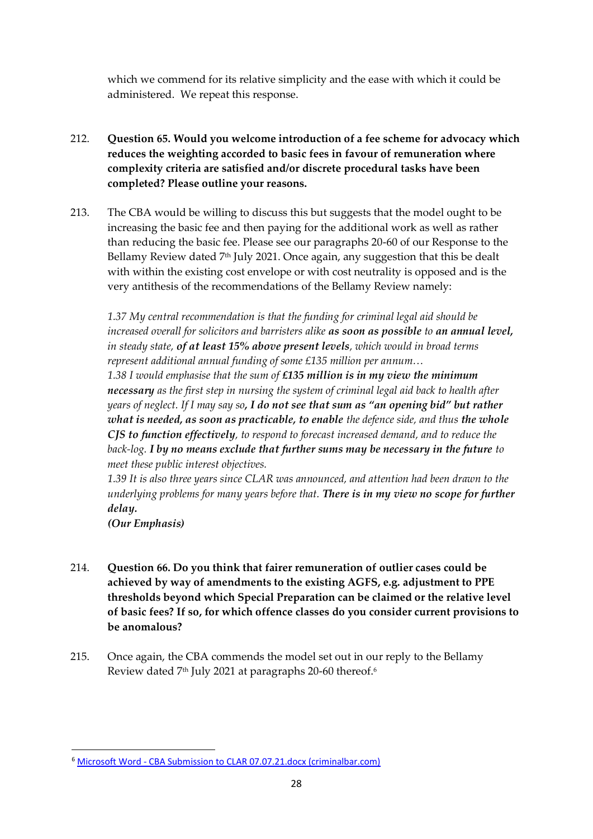which we commend for its relative simplicity and the ease with which it could be administered. We repeat this response.

- 212. **Question 65. Would you welcome introduction of a fee scheme for advocacy which reduces the weighting accorded to basic fees in favour of remuneration where complexity criteria are satisfied and/or discrete procedural tasks have been completed? Please outline your reasons.**
- 213. The CBA would be willing to discuss this but suggests that the model ought to be increasing the basic fee and then paying for the additional work as well as rather than reducing the basic fee. Please see our paragraphs 20-60 of our Response to the Bellamy Review dated 7<sup>th</sup> July 2021. Once again, any suggestion that this be dealt with within the existing cost envelope or with cost neutrality is opposed and is the very antithesis of the recommendations of the Bellamy Review namely:

*1.37 My central recommendation is that the funding for criminal legal aid should be increased overall for solicitors and barristers alike as soon as possible to an annual level, in steady state, of at least 15% above present levels, which would in broad terms represent additional annual funding of some £135 million per annum…*

*1.38 I would emphasise that the sum of £135 million is in my view the minimum necessary as the first step in nursing the system of criminal legal aid back to health after years of neglect. If I may say so, I do not see that sum as "an opening bid" but rather what is needed, as soon as practicable, to enable the defence side, and thus the whole CJS to function effectively, to respond to forecast increased demand, and to reduce the back-log. I by no means exclude that further sums may be necessary in the future to meet these public interest objectives.*

*1.39 It is also three years since CLAR was announced, and attention had been drawn to the underlying problems for many years before that. There is in my view no scope for further delay.*

*(Our Emphasis)*

- 214. **Question 66. Do you think that fairer remuneration of outlier cases could be achieved by way of amendments to the existing AGFS, e.g. adjustment to PPE thresholds beyond which Special Preparation can be claimed or the relative level of basic fees? If so, for which offence classes do you consider current provisions to be anomalous?**
- 215. Once again, the CBA commends the model set out in our reply to the Bellamy Review dated 7<sup>th</sup> July 2021 at paragraphs 20-60 thereof.<sup>6</sup>

<sup>6</sup> Microsoft Word - [CBA Submission to CLAR 07.07.21.docx \(criminalbar.com\)](https://www.criminalbar.com/wp-content/uploads/2021/07/CBA-Submission-to-CLAR-07.07.21.pdf)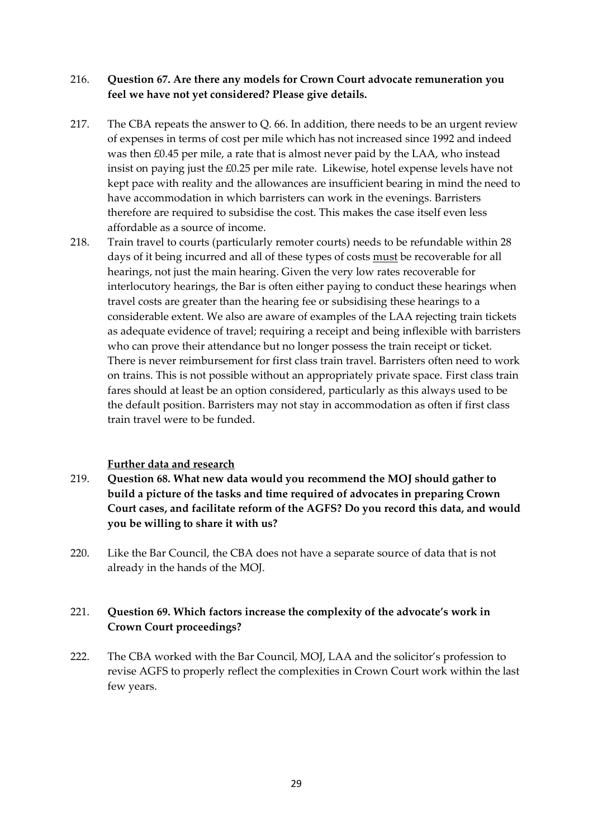### 216. **Question 67. Are there any models for Crown Court advocate remuneration you feel we have not yet considered? Please give details.**

- 217. The CBA repeats the answer to Q. 66. In addition, there needs to be an urgent review of expenses in terms of cost per mile which has not increased since 1992 and indeed was then £0.45 per mile, a rate that is almost never paid by the LAA, who instead insist on paying just the £0.25 per mile rate. Likewise, hotel expense levels have not kept pace with reality and the allowances are insufficient bearing in mind the need to have accommodation in which barristers can work in the evenings. Barristers therefore are required to subsidise the cost. This makes the case itself even less affordable as a source of income.
- 218. Train travel to courts (particularly remoter courts) needs to be refundable within 28 days of it being incurred and all of these types of costs must be recoverable for all hearings, not just the main hearing. Given the very low rates recoverable for interlocutory hearings, the Bar is often either paying to conduct these hearings when travel costs are greater than the hearing fee or subsidising these hearings to a considerable extent. We also are aware of examples of the LAA rejecting train tickets as adequate evidence of travel; requiring a receipt and being inflexible with barristers who can prove their attendance but no longer possess the train receipt or ticket. There is never reimbursement for first class train travel. Barristers often need to work on trains. This is not possible without an appropriately private space. First class train fares should at least be an option considered, particularly as this always used to be the default position. Barristers may not stay in accommodation as often if first class train travel were to be funded.

#### **Further data and research**

- 219. **Question 68. What new data would you recommend the MOJ should gather to build a picture of the tasks and time required of advocates in preparing Crown Court cases, and facilitate reform of the AGFS? Do you record this data, and would you be willing to share it with us?**
- 220. Like the Bar Council, the CBA does not have a separate source of data that is not already in the hands of the MOJ.

## 221. **Question 69. Which factors increase the complexity of the advocate's work in Crown Court proceedings?**

222. The CBA worked with the Bar Council, MOJ, LAA and the solicitor's profession to revise AGFS to properly reflect the complexities in Crown Court work within the last few years.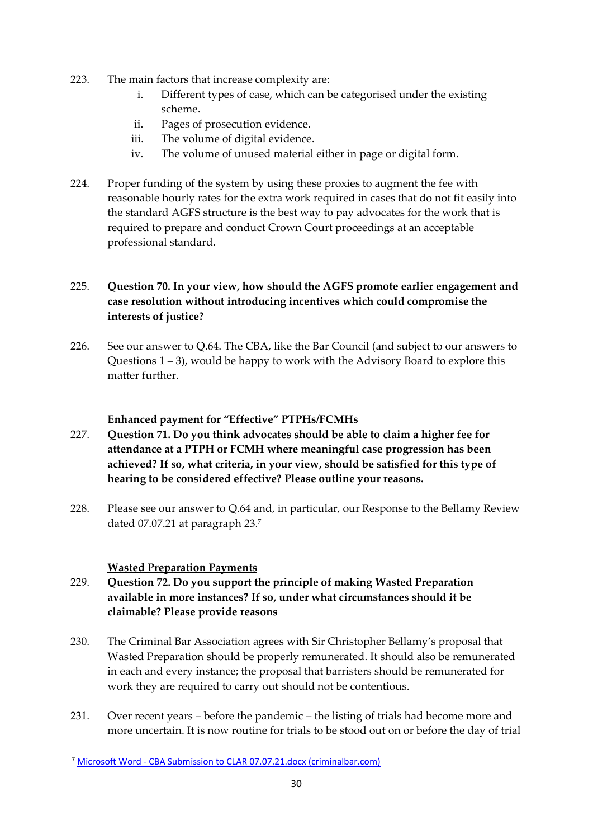- 223. The main factors that increase complexity are:
	- i. Different types of case, which can be categorised under the existing scheme.
	- ii. Pages of prosecution evidence.
	- iii. The volume of digital evidence.
	- iv. The volume of unused material either in page or digital form.
- 224. Proper funding of the system by using these proxies to augment the fee with reasonable hourly rates for the extra work required in cases that do not fit easily into the standard AGFS structure is the best way to pay advocates for the work that is required to prepare and conduct Crown Court proceedings at an acceptable professional standard.

# 225. **Question 70. In your view, how should the AGFS promote earlier engagement and case resolution without introducing incentives which could compromise the interests of justice?**

226. See our answer to Q.64. The CBA, like the Bar Council (and subject to our answers to Questions 1 – 3), would be happy to work with the Advisory Board to explore this matter further.

### **Enhanced payment for "Effective" PTPHs/FCMHs**

- 227. **Question 71. Do you think advocates should be able to claim a higher fee for attendance at a PTPH or FCMH where meaningful case progression has been achieved? If so, what criteria, in your view, should be satisfied for this type of hearing to be considered effective? Please outline your reasons.**
- 228. Please see our answer to Q.64 and, in particular, our Response to the Bellamy Review dated 07.07.21 at paragraph 23.<sup>7</sup>

#### **Wasted Preparation Payments**

- 229. **Question 72. Do you support the principle of making Wasted Preparation available in more instances? If so, under what circumstances should it be claimable? Please provide reasons**
- 230. The Criminal Bar Association agrees with Sir Christopher Bellamy's proposal that Wasted Preparation should be properly remunerated. It should also be remunerated in each and every instance; the proposal that barristers should be remunerated for work they are required to carry out should not be contentious.
- 231. Over recent years before the pandemic the listing of trials had become more and more uncertain. It is now routine for trials to be stood out on or before the day of trial

<sup>7</sup> Microsoft Word - [CBA Submission to CLAR 07.07.21.docx \(criminalbar.com\)](https://www.criminalbar.com/wp-content/uploads/2021/07/CBA-Submission-to-CLAR-07.07.21.pdf)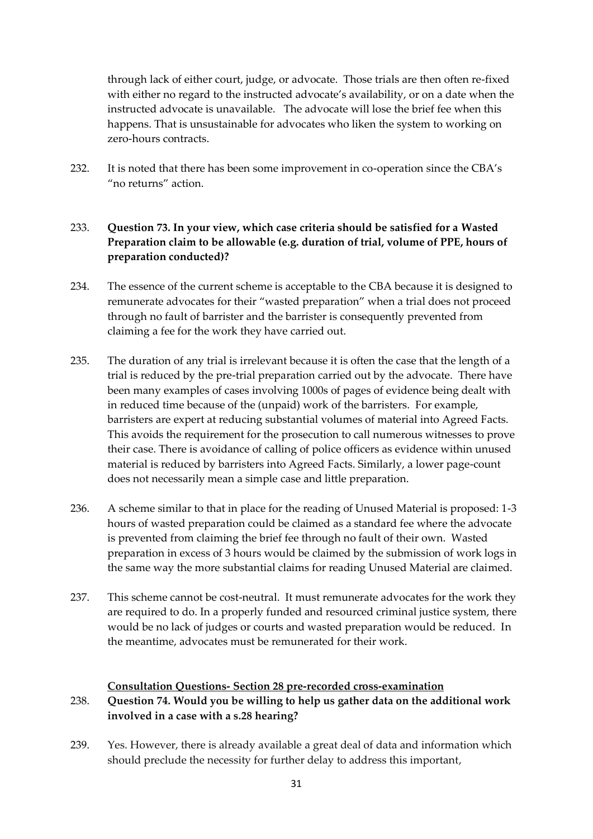through lack of either court, judge, or advocate. Those trials are then often re-fixed with either no regard to the instructed advocate's availability, or on a date when the instructed advocate is unavailable. The advocate will lose the brief fee when this happens. That is unsustainable for advocates who liken the system to working on zero-hours contracts.

232. It is noted that there has been some improvement in co-operation since the CBA's "no returns" action.

# 233. **Question 73. In your view, which case criteria should be satisfied for a Wasted Preparation claim to be allowable (e.g. duration of trial, volume of PPE, hours of preparation conducted)?**

- 234. The essence of the current scheme is acceptable to the CBA because it is designed to remunerate advocates for their "wasted preparation" when a trial does not proceed through no fault of barrister and the barrister is consequently prevented from claiming a fee for the work they have carried out.
- 235. The duration of any trial is irrelevant because it is often the case that the length of a trial is reduced by the pre-trial preparation carried out by the advocate. There have been many examples of cases involving 1000s of pages of evidence being dealt with in reduced time because of the (unpaid) work of the barristers. For example, barristers are expert at reducing substantial volumes of material into Agreed Facts. This avoids the requirement for the prosecution to call numerous witnesses to prove their case. There is avoidance of calling of police officers as evidence within unused material is reduced by barristers into Agreed Facts. Similarly, a lower page-count does not necessarily mean a simple case and little preparation.
- 236. A scheme similar to that in place for the reading of Unused Material is proposed: 1-3 hours of wasted preparation could be claimed as a standard fee where the advocate is prevented from claiming the brief fee through no fault of their own. Wasted preparation in excess of 3 hours would be claimed by the submission of work logs in the same way the more substantial claims for reading Unused Material are claimed.
- 237. This scheme cannot be cost-neutral. It must remunerate advocates for the work they are required to do. In a properly funded and resourced criminal justice system, there would be no lack of judges or courts and wasted preparation would be reduced. In the meantime, advocates must be remunerated for their work.

#### **Consultation Questions- Section 28 pre-recorded cross-examination**

# 238. **Question 74. Would you be willing to help us gather data on the additional work involved in a case with a s.28 hearing?**

239. Yes. However, there is already available a great deal of data and information which should preclude the necessity for further delay to address this important,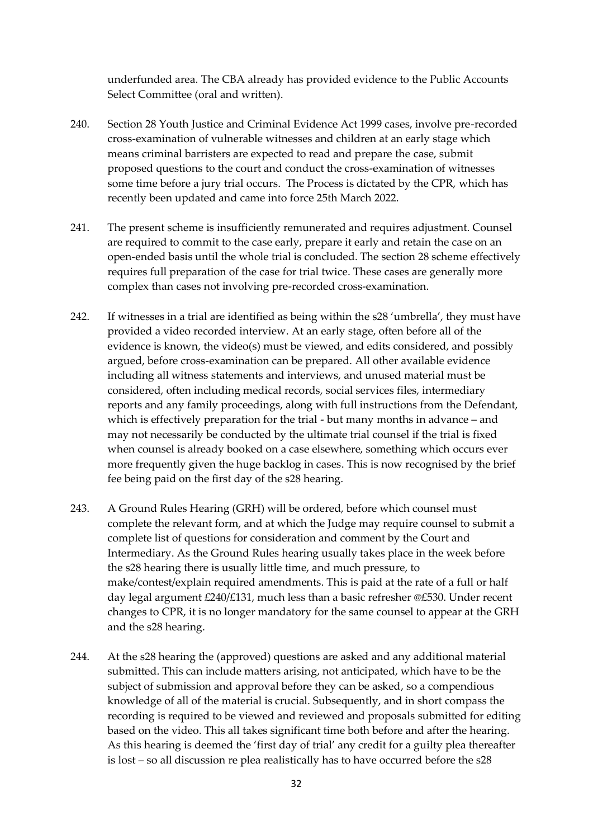underfunded area. The CBA already has provided evidence to the Public Accounts Select Committee (oral and written).

- 240. Section 28 Youth Justice and Criminal Evidence Act 1999 cases, involve pre-recorded cross-examination of vulnerable witnesses and children at an early stage which means criminal barristers are expected to read and prepare the case, submit proposed questions to the court and conduct the cross-examination of witnesses some time before a jury trial occurs. The Process is dictated by the CPR, which has recently been updated and came into force 25th March 2022.
- 241. The present scheme is insufficiently remunerated and requires adjustment. Counsel are required to commit to the case early, prepare it early and retain the case on an open-ended basis until the whole trial is concluded. The section 28 scheme effectively requires full preparation of the case for trial twice. These cases are generally more complex than cases not involving pre-recorded cross-examination.
- 242. If witnesses in a trial are identified as being within the s28 'umbrella', they must have provided a video recorded interview. At an early stage, often before all of the evidence is known, the video(s) must be viewed, and edits considered, and possibly argued, before cross-examination can be prepared. All other available evidence including all witness statements and interviews, and unused material must be considered, often including medical records, social services files, intermediary reports and any family proceedings, along with full instructions from the Defendant, which is effectively preparation for the trial - but many months in advance – and may not necessarily be conducted by the ultimate trial counsel if the trial is fixed when counsel is already booked on a case elsewhere, something which occurs ever more frequently given the huge backlog in cases. This is now recognised by the brief fee being paid on the first day of the s28 hearing.
- 243. A Ground Rules Hearing (GRH) will be ordered, before which counsel must complete the relevant form, and at which the Judge may require counsel to submit a complete list of questions for consideration and comment by the Court and Intermediary. As the Ground Rules hearing usually takes place in the week before the s28 hearing there is usually little time, and much pressure, to make/contest/explain required amendments. This is paid at the rate of a full or half day legal argument £240/£131, much less than a basic refresher @£530. Under recent changes to CPR, it is no longer mandatory for the same counsel to appear at the GRH and the s28 hearing.
- 244. At the s28 hearing the (approved) questions are asked and any additional material submitted. This can include matters arising, not anticipated, which have to be the subject of submission and approval before they can be asked, so a compendious knowledge of all of the material is crucial. Subsequently, and in short compass the recording is required to be viewed and reviewed and proposals submitted for editing based on the video. This all takes significant time both before and after the hearing. As this hearing is deemed the 'first day of trial' any credit for a guilty plea thereafter is lost – so all discussion re plea realistically has to have occurred before the s28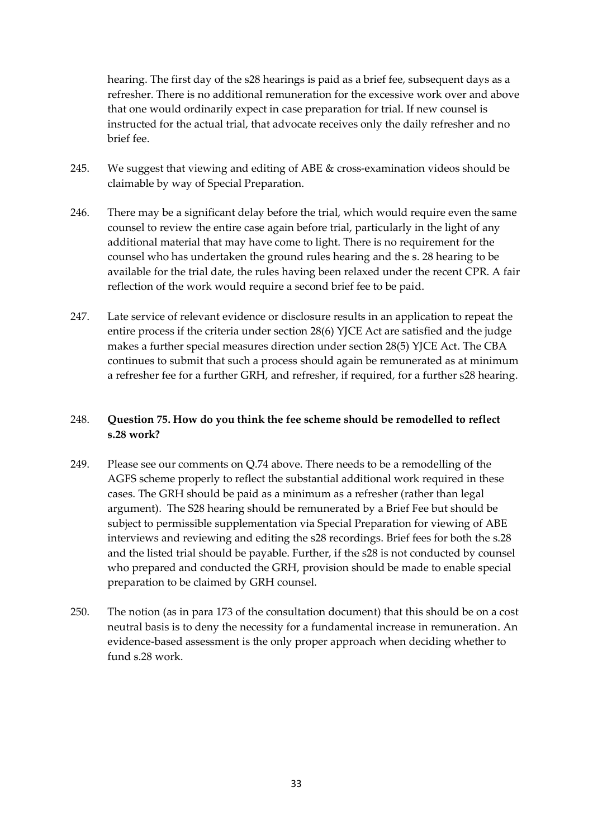hearing. The first day of the s28 hearings is paid as a brief fee, subsequent days as a refresher. There is no additional remuneration for the excessive work over and above that one would ordinarily expect in case preparation for trial. If new counsel is instructed for the actual trial, that advocate receives only the daily refresher and no brief fee.

- 245. We suggest that viewing and editing of ABE & cross-examination videos should be claimable by way of Special Preparation.
- 246. There may be a significant delay before the trial, which would require even the same counsel to review the entire case again before trial, particularly in the light of any additional material that may have come to light. There is no requirement for the counsel who has undertaken the ground rules hearing and the s. 28 hearing to be available for the trial date, the rules having been relaxed under the recent CPR. A fair reflection of the work would require a second brief fee to be paid.
- 247. Late service of relevant evidence or disclosure results in an application to repeat the entire process if the criteria under section 28(6) YJCE Act are satisfied and the judge makes a further special measures direction under section 28(5) YJCE Act. The CBA continues to submit that such a process should again be remunerated as at minimum a refresher fee for a further GRH, and refresher, if required, for a further s28 hearing.

## 248. **Question 75. How do you think the fee scheme should be remodelled to reflect s.28 work?**

- 249. Please see our comments on Q.74 above. There needs to be a remodelling of the AGFS scheme properly to reflect the substantial additional work required in these cases. The GRH should be paid as a minimum as a refresher (rather than legal argument). The S28 hearing should be remunerated by a Brief Fee but should be subject to permissible supplementation via Special Preparation for viewing of ABE interviews and reviewing and editing the s28 recordings. Brief fees for both the s.28 and the listed trial should be payable. Further, if the s28 is not conducted by counsel who prepared and conducted the GRH, provision should be made to enable special preparation to be claimed by GRH counsel.
- 250. The notion (as in para 173 of the consultation document) that this should be on a cost neutral basis is to deny the necessity for a fundamental increase in remuneration. An evidence-based assessment is the only proper approach when deciding whether to fund s.28 work.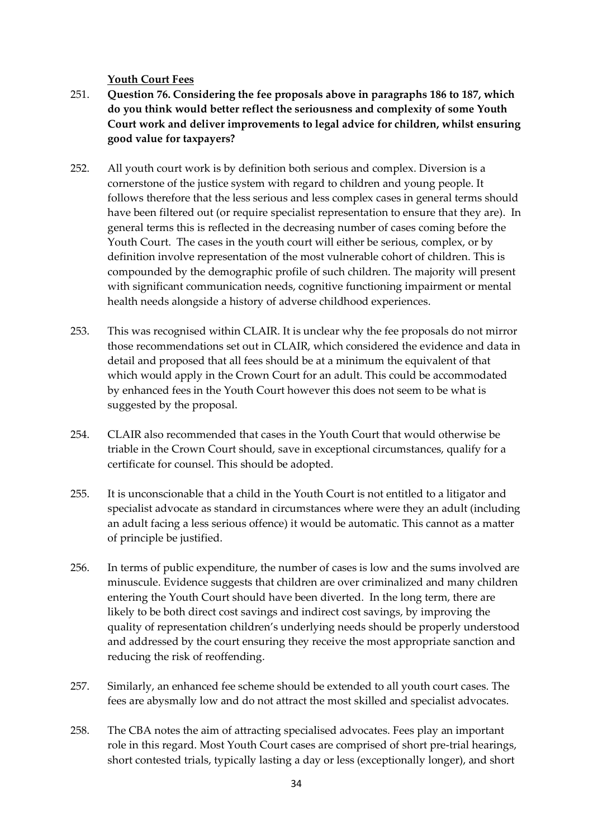#### **Youth Court Fees**

- 251. **Question 76. Considering the fee proposals above in paragraphs 186 to 187, which do you think would better reflect the seriousness and complexity of some Youth Court work and deliver improvements to legal advice for children, whilst ensuring good value for taxpayers?**
- 252. All youth court work is by definition both serious and complex. Diversion is a cornerstone of the justice system with regard to children and young people. It follows therefore that the less serious and less complex cases in general terms should have been filtered out (or require specialist representation to ensure that they are). In general terms this is reflected in the decreasing number of cases coming before the Youth Court. The cases in the youth court will either be serious, complex, or by definition involve representation of the most vulnerable cohort of children. This is compounded by the demographic profile of such children. The majority will present with significant communication needs, cognitive functioning impairment or mental health needs alongside a history of adverse childhood experiences.
- 253. This was recognised within CLAIR. It is unclear why the fee proposals do not mirror those recommendations set out in CLAIR, which considered the evidence and data in detail and proposed that all fees should be at a minimum the equivalent of that which would apply in the Crown Court for an adult. This could be accommodated by enhanced fees in the Youth Court however this does not seem to be what is suggested by the proposal.
- 254. CLAIR also recommended that cases in the Youth Court that would otherwise be triable in the Crown Court should, save in exceptional circumstances, qualify for a certificate for counsel. This should be adopted.
- 255. It is unconscionable that a child in the Youth Court is not entitled to a litigator and specialist advocate as standard in circumstances where were they an adult (including an adult facing a less serious offence) it would be automatic. This cannot as a matter of principle be justified.
- 256. In terms of public expenditure, the number of cases is low and the sums involved are minuscule. Evidence suggests that children are over criminalized and many children entering the Youth Court should have been diverted. In the long term, there are likely to be both direct cost savings and indirect cost savings, by improving the quality of representation children's underlying needs should be properly understood and addressed by the court ensuring they receive the most appropriate sanction and reducing the risk of reoffending.
- 257. Similarly, an enhanced fee scheme should be extended to all youth court cases. The fees are abysmally low and do not attract the most skilled and specialist advocates.
- 258. The CBA notes the aim of attracting specialised advocates. Fees play an important role in this regard. Most Youth Court cases are comprised of short pre-trial hearings, short contested trials, typically lasting a day or less (exceptionally longer), and short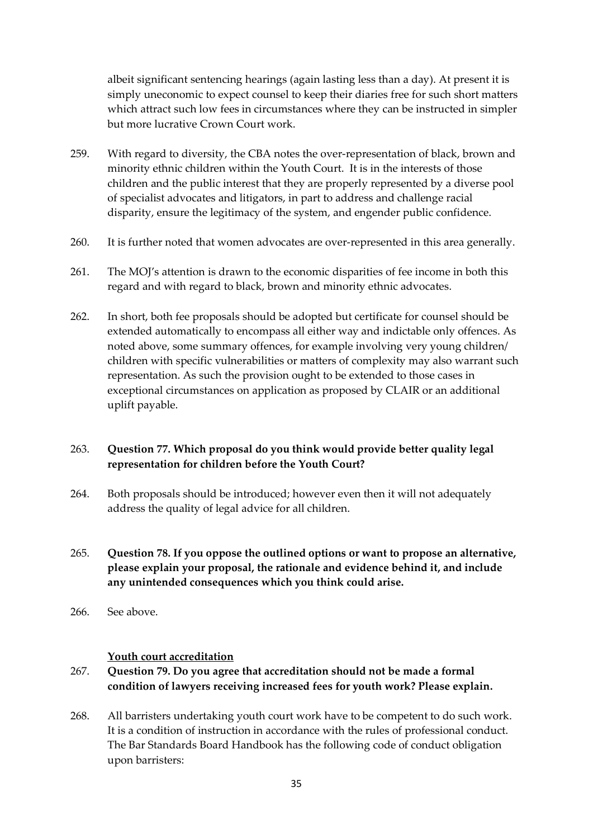albeit significant sentencing hearings (again lasting less than a day). At present it is simply uneconomic to expect counsel to keep their diaries free for such short matters which attract such low fees in circumstances where they can be instructed in simpler but more lucrative Crown Court work.

- 259. With regard to diversity, the CBA notes the over-representation of black, brown and minority ethnic children within the Youth Court. It is in the interests of those children and the public interest that they are properly represented by a diverse pool of specialist advocates and litigators, in part to address and challenge racial disparity, ensure the legitimacy of the system, and engender public confidence.
- 260. It is further noted that women advocates are over-represented in this area generally.
- 261. The MOJ's attention is drawn to the economic disparities of fee income in both this regard and with regard to black, brown and minority ethnic advocates.
- 262. In short, both fee proposals should be adopted but certificate for counsel should be extended automatically to encompass all either way and indictable only offences. As noted above, some summary offences, for example involving very young children/ children with specific vulnerabilities or matters of complexity may also warrant such representation. As such the provision ought to be extended to those cases in exceptional circumstances on application as proposed by CLAIR or an additional uplift payable.

## 263. **Question 77. Which proposal do you think would provide better quality legal representation for children before the Youth Court?**

- 264. Both proposals should be introduced; however even then it will not adequately address the quality of legal advice for all children.
- 265. **Question 78. If you oppose the outlined options or want to propose an alternative, please explain your proposal, the rationale and evidence behind it, and include any unintended consequences which you think could arise.**
- 266. See above.

#### **Youth court accreditation**

- 267. **Question 79. Do you agree that accreditation should not be made a formal condition of lawyers receiving increased fees for youth work? Please explain.**
- 268. All barristers undertaking youth court work have to be competent to do such work. It is a condition of instruction in accordance with the rules of professional conduct. The Bar Standards Board Handbook has the following code of conduct obligation upon barristers: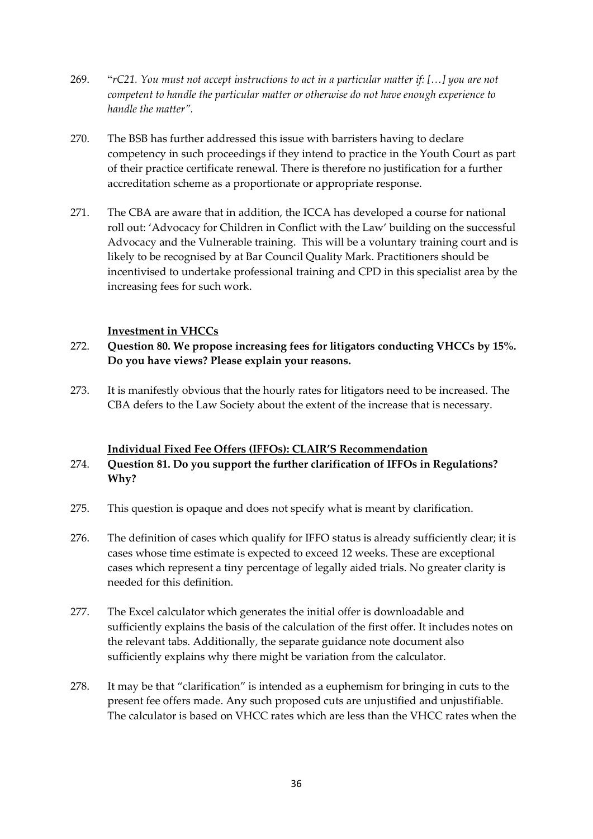- 269. "*rC21. You must not accept instructions to act in a particular matter if: […] you are not competent to handle the particular matter or otherwise do not have enough experience to handle the matter".*
- 270. The BSB has further addressed this issue with barristers having to declare competency in such proceedings if they intend to practice in the Youth Court as part of their practice certificate renewal. There is therefore no justification for a further accreditation scheme as a proportionate or appropriate response.
- 271. The CBA are aware that in addition, the ICCA has developed a course for national roll out: 'Advocacy for Children in Conflict with the Law' building on the successful Advocacy and the Vulnerable training. This will be a voluntary training court and is likely to be recognised by at Bar Council Quality Mark. Practitioners should be incentivised to undertake professional training and CPD in this specialist area by the increasing fees for such work.

### **Investment in VHCCs**

# 272. **Question 80. We propose increasing fees for litigators conducting VHCCs by 15%. Do you have views? Please explain your reasons.**

273. It is manifestly obvious that the hourly rates for litigators need to be increased. The CBA defers to the Law Society about the extent of the increase that is necessary.

#### **Individual Fixed Fee Offers (IFFOs): CLAIR'S Recommendation**

# 274. **Question 81. Do you support the further clarification of IFFOs in Regulations? Why?**

- 275. This question is opaque and does not specify what is meant by clarification.
- 276. The definition of cases which qualify for IFFO status is already sufficiently clear; it is cases whose time estimate is expected to exceed 12 weeks. These are exceptional cases which represent a tiny percentage of legally aided trials. No greater clarity is needed for this definition.
- 277. The Excel calculator which generates the initial offer is downloadable and sufficiently explains the basis of the calculation of the first offer. It includes notes on the relevant tabs. Additionally, the separate guidance note document also sufficiently explains why there might be variation from the calculator.
- 278. It may be that "clarification" is intended as a euphemism for bringing in cuts to the present fee offers made. Any such proposed cuts are unjustified and unjustifiable. The calculator is based on VHCC rates which are less than the VHCC rates when the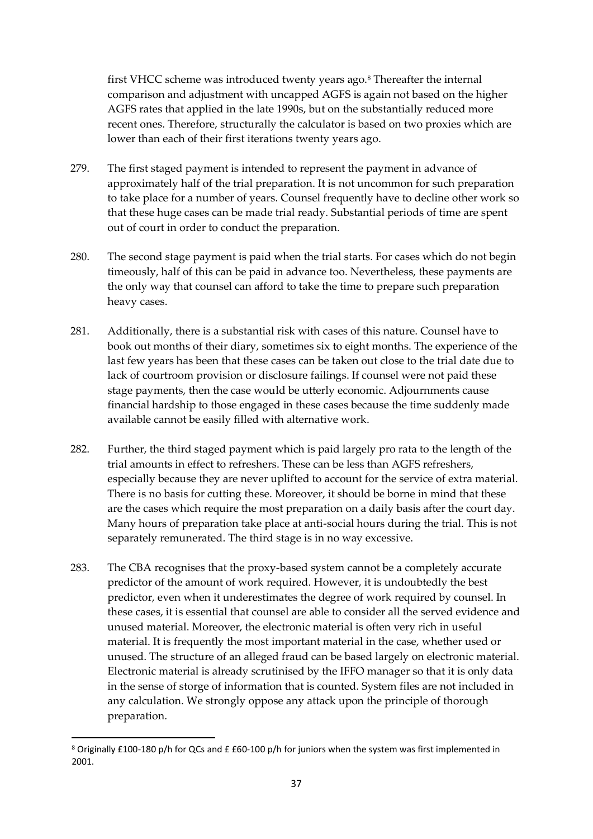first VHCC scheme was introduced twenty years ago.<sup>8</sup> Thereafter the internal comparison and adjustment with uncapped AGFS is again not based on the higher AGFS rates that applied in the late 1990s, but on the substantially reduced more recent ones. Therefore, structurally the calculator is based on two proxies which are lower than each of their first iterations twenty years ago.

- 279. The first staged payment is intended to represent the payment in advance of approximately half of the trial preparation. It is not uncommon for such preparation to take place for a number of years. Counsel frequently have to decline other work so that these huge cases can be made trial ready. Substantial periods of time are spent out of court in order to conduct the preparation.
- 280. The second stage payment is paid when the trial starts. For cases which do not begin timeously, half of this can be paid in advance too. Nevertheless, these payments are the only way that counsel can afford to take the time to prepare such preparation heavy cases.
- 281. Additionally, there is a substantial risk with cases of this nature. Counsel have to book out months of their diary, sometimes six to eight months. The experience of the last few years has been that these cases can be taken out close to the trial date due to lack of courtroom provision or disclosure failings. If counsel were not paid these stage payments, then the case would be utterly economic. Adjournments cause financial hardship to those engaged in these cases because the time suddenly made available cannot be easily filled with alternative work.
- 282. Further, the third staged payment which is paid largely pro rata to the length of the trial amounts in effect to refreshers. These can be less than AGFS refreshers, especially because they are never uplifted to account for the service of extra material. There is no basis for cutting these. Moreover, it should be borne in mind that these are the cases which require the most preparation on a daily basis after the court day. Many hours of preparation take place at anti-social hours during the trial. This is not separately remunerated. The third stage is in no way excessive.
- 283. The CBA recognises that the proxy-based system cannot be a completely accurate predictor of the amount of work required. However, it is undoubtedly the best predictor, even when it underestimates the degree of work required by counsel. In these cases, it is essential that counsel are able to consider all the served evidence and unused material. Moreover, the electronic material is often very rich in useful material. It is frequently the most important material in the case, whether used or unused. The structure of an alleged fraud can be based largely on electronic material. Electronic material is already scrutinised by the IFFO manager so that it is only data in the sense of storge of information that is counted. System files are not included in any calculation. We strongly oppose any attack upon the principle of thorough preparation.

<sup>8</sup> Originally £100-180 p/h for QCs and £ £60-100 p/h for juniors when the system was first implemented in 2001.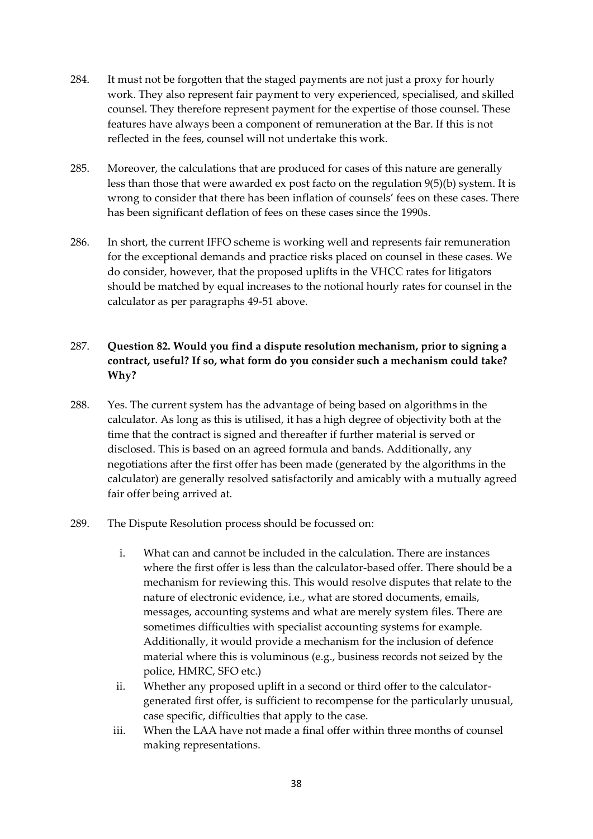- 284. It must not be forgotten that the staged payments are not just a proxy for hourly work. They also represent fair payment to very experienced, specialised, and skilled counsel. They therefore represent payment for the expertise of those counsel. These features have always been a component of remuneration at the Bar. If this is not reflected in the fees, counsel will not undertake this work.
- 285. Moreover, the calculations that are produced for cases of this nature are generally less than those that were awarded ex post facto on the regulation 9(5)(b) system. It is wrong to consider that there has been inflation of counsels' fees on these cases. There has been significant deflation of fees on these cases since the 1990s.
- 286. In short, the current IFFO scheme is working well and represents fair remuneration for the exceptional demands and practice risks placed on counsel in these cases. We do consider, however, that the proposed uplifts in the VHCC rates for litigators should be matched by equal increases to the notional hourly rates for counsel in the calculator as per paragraphs 49-51 above.

# 287. **Question 82. Would you find a dispute resolution mechanism, prior to signing a contract, useful? If so, what form do you consider such a mechanism could take? Why?**

- 288. Yes. The current system has the advantage of being based on algorithms in the calculator. As long as this is utilised, it has a high degree of objectivity both at the time that the contract is signed and thereafter if further material is served or disclosed. This is based on an agreed formula and bands. Additionally, any negotiations after the first offer has been made (generated by the algorithms in the calculator) are generally resolved satisfactorily and amicably with a mutually agreed fair offer being arrived at.
- 289. The Dispute Resolution process should be focussed on:
	- i. What can and cannot be included in the calculation. There are instances where the first offer is less than the calculator-based offer. There should be a mechanism for reviewing this. This would resolve disputes that relate to the nature of electronic evidence, i.e., what are stored documents, emails, messages, accounting systems and what are merely system files. There are sometimes difficulties with specialist accounting systems for example. Additionally, it would provide a mechanism for the inclusion of defence material where this is voluminous (e.g., business records not seized by the police, HMRC, SFO etc.)
	- ii. Whether any proposed uplift in a second or third offer to the calculatorgenerated first offer, is sufficient to recompense for the particularly unusual, case specific, difficulties that apply to the case.
	- iii. When the LAA have not made a final offer within three months of counsel making representations.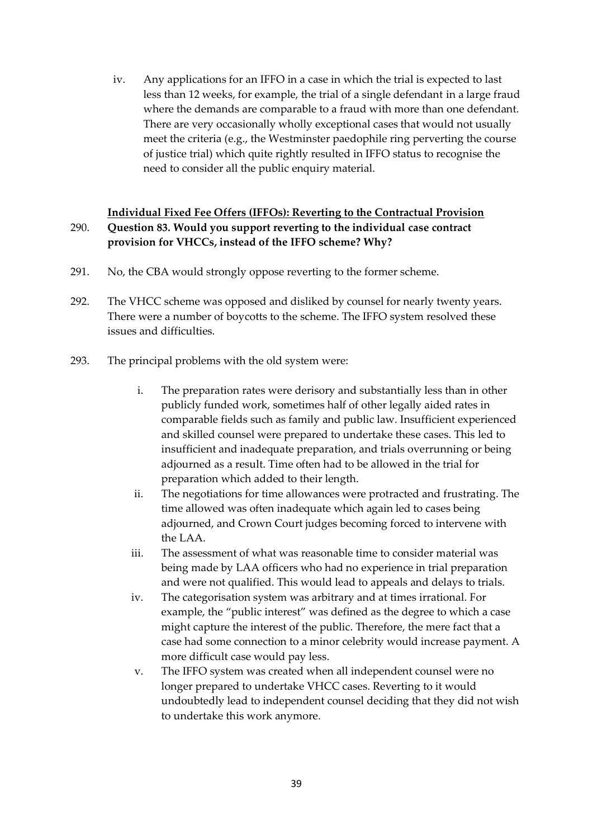iv. Any applications for an IFFO in a case in which the trial is expected to last less than 12 weeks, for example, the trial of a single defendant in a large fraud where the demands are comparable to a fraud with more than one defendant. There are very occasionally wholly exceptional cases that would not usually meet the criteria (e.g., the Westminster paedophile ring perverting the course of justice trial) which quite rightly resulted in IFFO status to recognise the need to consider all the public enquiry material.

## **Individual Fixed Fee Offers (IFFOs): Reverting to the Contractual Provision** 290. **Question 83. Would you support reverting to the individual case contract provision for VHCCs, instead of the IFFO scheme? Why?**

- 291. No, the CBA would strongly oppose reverting to the former scheme.
- 292. The VHCC scheme was opposed and disliked by counsel for nearly twenty years. There were a number of boycotts to the scheme. The IFFO system resolved these issues and difficulties.
- 293. The principal problems with the old system were:
	- i. The preparation rates were derisory and substantially less than in other publicly funded work, sometimes half of other legally aided rates in comparable fields such as family and public law. Insufficient experienced and skilled counsel were prepared to undertake these cases. This led to insufficient and inadequate preparation, and trials overrunning or being adjourned as a result. Time often had to be allowed in the trial for preparation which added to their length.
	- ii. The negotiations for time allowances were protracted and frustrating. The time allowed was often inadequate which again led to cases being adjourned, and Crown Court judges becoming forced to intervene with the LAA.
	- iii. The assessment of what was reasonable time to consider material was being made by LAA officers who had no experience in trial preparation and were not qualified. This would lead to appeals and delays to trials.
	- iv. The categorisation system was arbitrary and at times irrational. For example, the "public interest" was defined as the degree to which a case might capture the interest of the public. Therefore, the mere fact that a case had some connection to a minor celebrity would increase payment. A more difficult case would pay less.
	- v. The IFFO system was created when all independent counsel were no longer prepared to undertake VHCC cases. Reverting to it would undoubtedly lead to independent counsel deciding that they did not wish to undertake this work anymore.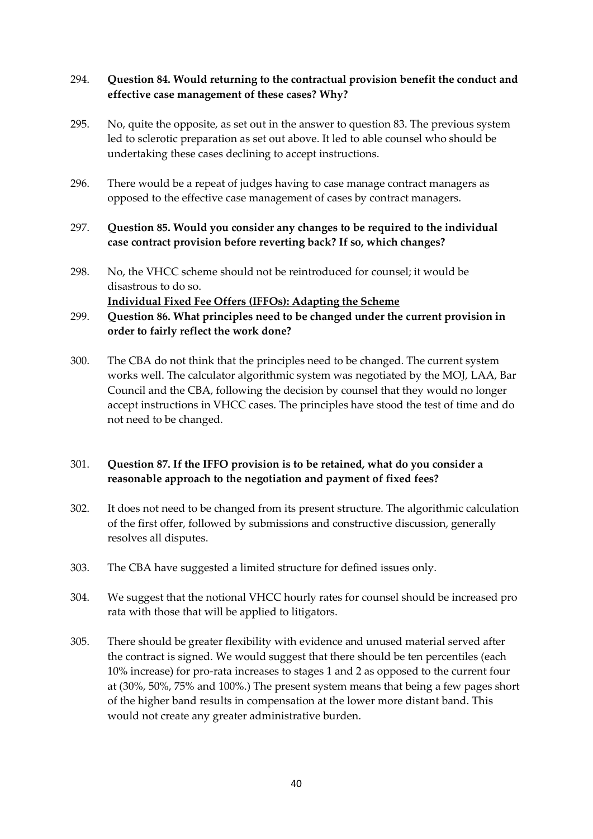## 294. **Question 84. Would returning to the contractual provision benefit the conduct and effective case management of these cases? Why?**

- 295. No, quite the opposite, as set out in the answer to question 83. The previous system led to sclerotic preparation as set out above. It led to able counsel who should be undertaking these cases declining to accept instructions.
- 296. There would be a repeat of judges having to case manage contract managers as opposed to the effective case management of cases by contract managers.
- 297. **Question 85. Would you consider any changes to be required to the individual case contract provision before reverting back? If so, which changes?**
- 298. No, the VHCC scheme should not be reintroduced for counsel; it would be disastrous to do so.

**Individual Fixed Fee Offers (IFFOs): Adapting the Scheme**

- 299. **Question 86. What principles need to be changed under the current provision in order to fairly reflect the work done?**
- 300. The CBA do not think that the principles need to be changed. The current system works well. The calculator algorithmic system was negotiated by the MOJ, LAA, Bar Council and the CBA, following the decision by counsel that they would no longer accept instructions in VHCC cases. The principles have stood the test of time and do not need to be changed.

# 301. **Question 87. If the IFFO provision is to be retained, what do you consider a reasonable approach to the negotiation and payment of fixed fees?**

- 302. It does not need to be changed from its present structure. The algorithmic calculation of the first offer, followed by submissions and constructive discussion, generally resolves all disputes.
- 303. The CBA have suggested a limited structure for defined issues only.
- 304. We suggest that the notional VHCC hourly rates for counsel should be increased pro rata with those that will be applied to litigators.
- 305. There should be greater flexibility with evidence and unused material served after the contract is signed. We would suggest that there should be ten percentiles (each 10% increase) for pro-rata increases to stages 1 and 2 as opposed to the current four at (30%, 50%, 75% and 100%.) The present system means that being a few pages short of the higher band results in compensation at the lower more distant band. This would not create any greater administrative burden.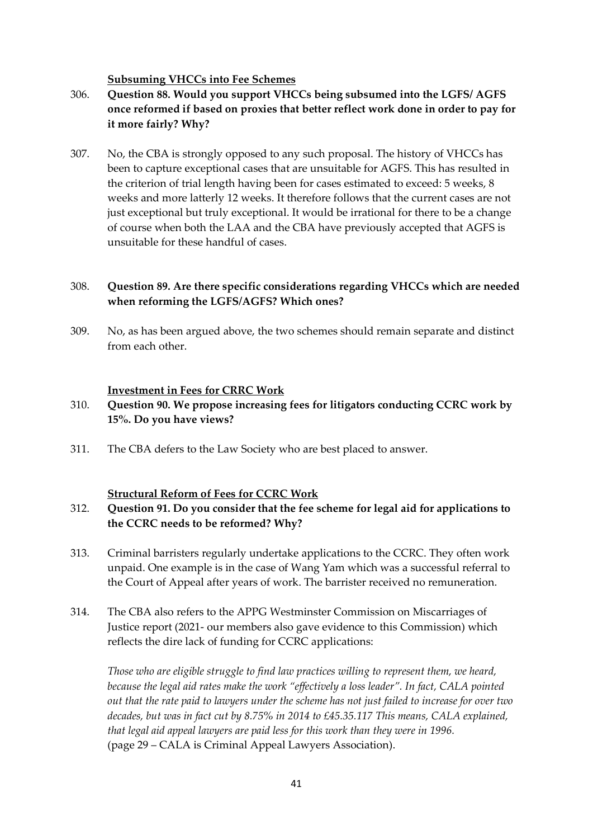#### **Subsuming VHCCs into Fee Schemes**

# 306. **Question 88. Would you support VHCCs being subsumed into the LGFS/ AGFS once reformed if based on proxies that better reflect work done in order to pay for it more fairly? Why?**

307. No, the CBA is strongly opposed to any such proposal. The history of VHCCs has been to capture exceptional cases that are unsuitable for AGFS. This has resulted in the criterion of trial length having been for cases estimated to exceed: 5 weeks, 8 weeks and more latterly 12 weeks. It therefore follows that the current cases are not just exceptional but truly exceptional. It would be irrational for there to be a change of course when both the LAA and the CBA have previously accepted that AGFS is unsuitable for these handful of cases.

### 308. **Question 89. Are there specific considerations regarding VHCCs which are needed when reforming the LGFS/AGFS? Which ones?**

309. No, as has been argued above, the two schemes should remain separate and distinct from each other.

#### **Investment in Fees for CRRC Work**

### 310. **Question 90. We propose increasing fees for litigators conducting CCRC work by 15%. Do you have views?**

311. The CBA defers to the Law Society who are best placed to answer.

#### **Structural Reform of Fees for CCRC Work**

### 312. **Question 91. Do you consider that the fee scheme for legal aid for applications to the CCRC needs to be reformed? Why?**

- 313. Criminal barristers regularly undertake applications to the CCRC. They often work unpaid. One example is in the case of Wang Yam which was a successful referral to the Court of Appeal after years of work. The barrister received no remuneration.
- 314. The CBA also refers to the APPG Westminster Commission on Miscarriages of Justice report (2021- our members also gave evidence to this Commission) which reflects the dire lack of funding for CCRC applications:

*Those who are eligible struggle to find law practices willing to represent them, we heard, because the legal aid rates make the work "effectively a loss leader". In fact, CALA pointed out that the rate paid to lawyers under the scheme has not just failed to increase for over two decades, but was in fact cut by 8.75% in 2014 to £45.35.117 This means, CALA explained, that legal aid appeal lawyers are paid less for this work than they were in 1996.* (page 29 – CALA is Criminal Appeal Lawyers Association).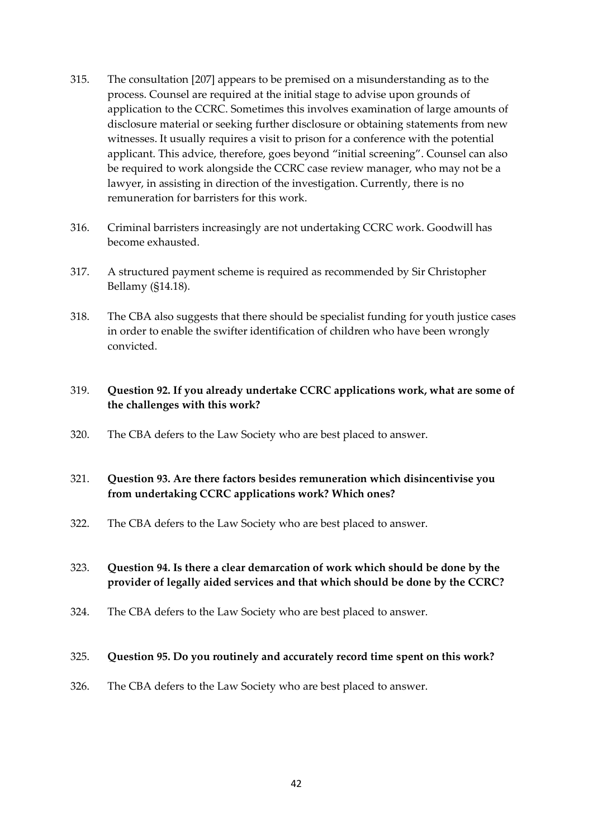- 315. The consultation [207] appears to be premised on a misunderstanding as to the process. Counsel are required at the initial stage to advise upon grounds of application to the CCRC. Sometimes this involves examination of large amounts of disclosure material or seeking further disclosure or obtaining statements from new witnesses. It usually requires a visit to prison for a conference with the potential applicant. This advice, therefore, goes beyond "initial screening". Counsel can also be required to work alongside the CCRC case review manager, who may not be a lawyer, in assisting in direction of the investigation. Currently, there is no remuneration for barristers for this work.
- 316. Criminal barristers increasingly are not undertaking CCRC work. Goodwill has become exhausted.
- 317. A structured payment scheme is required as recommended by Sir Christopher Bellamy (§14.18).
- 318. The CBA also suggests that there should be specialist funding for youth justice cases in order to enable the swifter identification of children who have been wrongly convicted.

### 319. **Question 92. If you already undertake CCRC applications work, what are some of the challenges with this work?**

320. The CBA defers to the Law Society who are best placed to answer.

# 321. **Question 93. Are there factors besides remuneration which disincentivise you from undertaking CCRC applications work? Which ones?**

322. The CBA defers to the Law Society who are best placed to answer.

## 323. **Question 94. Is there a clear demarcation of work which should be done by the provider of legally aided services and that which should be done by the CCRC?**

324. The CBA defers to the Law Society who are best placed to answer.

#### 325. **Question 95. Do you routinely and accurately record time spent on this work?**

326. The CBA defers to the Law Society who are best placed to answer.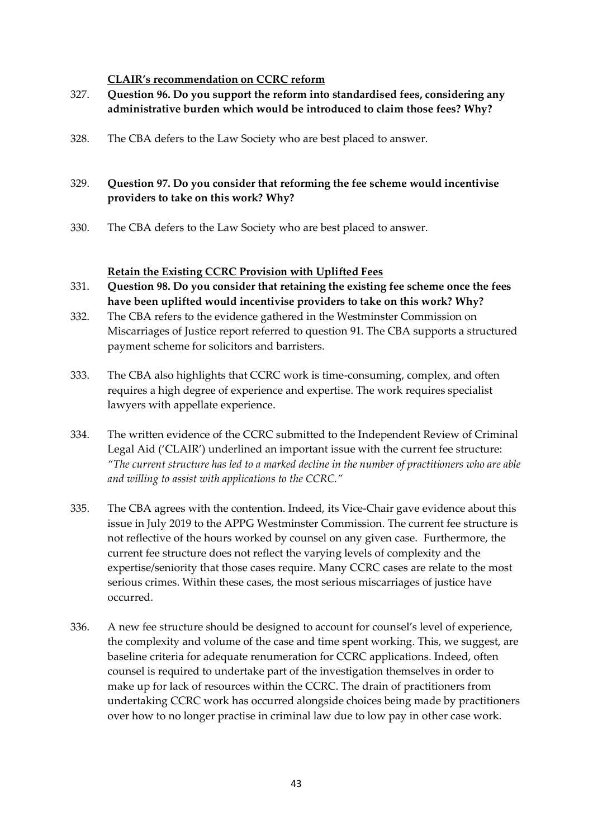### **CLAIR's recommendation on CCRC reform**

- 327. **Question 96. Do you support the reform into standardised fees, considering any administrative burden which would be introduced to claim those fees? Why?**
- 328. The CBA defers to the Law Society who are best placed to answer.

# 329. **Question 97. Do you consider that reforming the fee scheme would incentivise providers to take on this work? Why?**

330. The CBA defers to the Law Society who are best placed to answer.

#### **Retain the Existing CCRC Provision with Uplifted Fees**

- 331. **Question 98. Do you consider that retaining the existing fee scheme once the fees have been uplifted would incentivise providers to take on this work? Why?**
- 332. The CBA refers to the evidence gathered in the Westminster Commission on Miscarriages of Justice report referred to question 91. The CBA supports a structured payment scheme for solicitors and barristers.
- 333. The CBA also highlights that CCRC work is time-consuming, complex, and often requires a high degree of experience and expertise. The work requires specialist lawyers with appellate experience.
- 334. The written evidence of the CCRC submitted to the Independent Review of Criminal Legal Aid ('CLAIR') underlined an important issue with the current fee structure: *"The current structure has led to a marked decline in the number of practitioners who are able and willing to assist with applications to the CCRC."*
- 335. The CBA agrees with the contention. Indeed, its Vice-Chair gave evidence about this issue in July 2019 to the APPG Westminster Commission. The current fee structure is not reflective of the hours worked by counsel on any given case. Furthermore, the current fee structure does not reflect the varying levels of complexity and the expertise/seniority that those cases require. Many CCRC cases are relate to the most serious crimes. Within these cases, the most serious miscarriages of justice have occurred.
- 336. A new fee structure should be designed to account for counsel's level of experience, the complexity and volume of the case and time spent working. This, we suggest, are baseline criteria for adequate renumeration for CCRC applications. Indeed, often counsel is required to undertake part of the investigation themselves in order to make up for lack of resources within the CCRC. The drain of practitioners from undertaking CCRC work has occurred alongside choices being made by practitioners over how to no longer practise in criminal law due to low pay in other case work.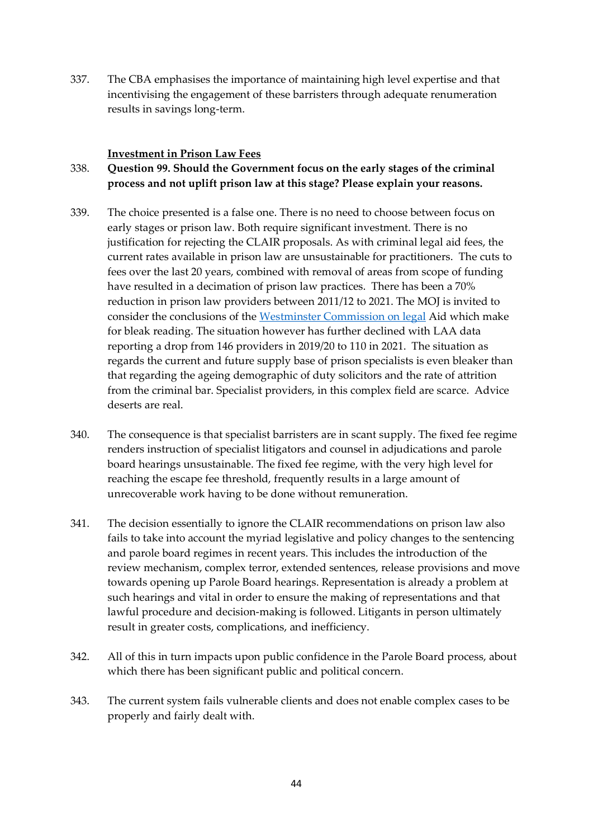337. The CBA emphasises the importance of maintaining high level expertise and that incentivising the engagement of these barristers through adequate renumeration results in savings long-term.

#### **Investment in Prison Law Fees**

### 338. **Question 99. Should the Government focus on the early stages of the criminal process and not uplift prison law at this stage? Please explain your reasons.**

- 339. The choice presented is a false one. There is no need to choose between focus on early stages or prison law. Both require significant investment. There is no justification for rejecting the CLAIR proposals. As with criminal legal aid fees, the current rates available in prison law are unsustainable for practitioners. The cuts to fees over the last 20 years, combined with removal of areas from scope of funding have resulted in a decimation of prison law practices. There has been a 70% reduction in prison law providers between 2011/12 to 2021. The MOJ is invited to consider the conclusions of the [Westminster](https://lapg.co.uk/wp-content/uploads/The-Westminster-Commission-on-Legal-Aid_WEB.pdf) Commission on legal Aid which make for bleak reading. The situation however has further declined with LAA data reporting a drop from 146 providers in 2019/20 to 110 in 2021. The situation as regards the current and future supply base of prison specialists is even bleaker than that regarding the ageing demographic of duty solicitors and the rate of attrition from the criminal bar. Specialist providers, in this complex field are scarce. Advice deserts are real.
- 340. The consequence is that specialist barristers are in scant supply. The fixed fee regime renders instruction of specialist litigators and counsel in adjudications and parole board hearings unsustainable. The fixed fee regime, with the very high level for reaching the escape fee threshold, frequently results in a large amount of unrecoverable work having to be done without remuneration.
- 341. The decision essentially to ignore the CLAIR recommendations on prison law also fails to take into account the myriad legislative and policy changes to the sentencing and parole board regimes in recent years. This includes the introduction of the review mechanism, complex terror, extended sentences, release provisions and move towards opening up Parole Board hearings. Representation is already a problem at such hearings and vital in order to ensure the making of representations and that lawful procedure and decision-making is followed. Litigants in person ultimately result in greater costs, complications, and inefficiency.
- 342. All of this in turn impacts upon public confidence in the Parole Board process, about which there has been significant public and political concern.
- 343. The current system fails vulnerable clients and does not enable complex cases to be properly and fairly dealt with.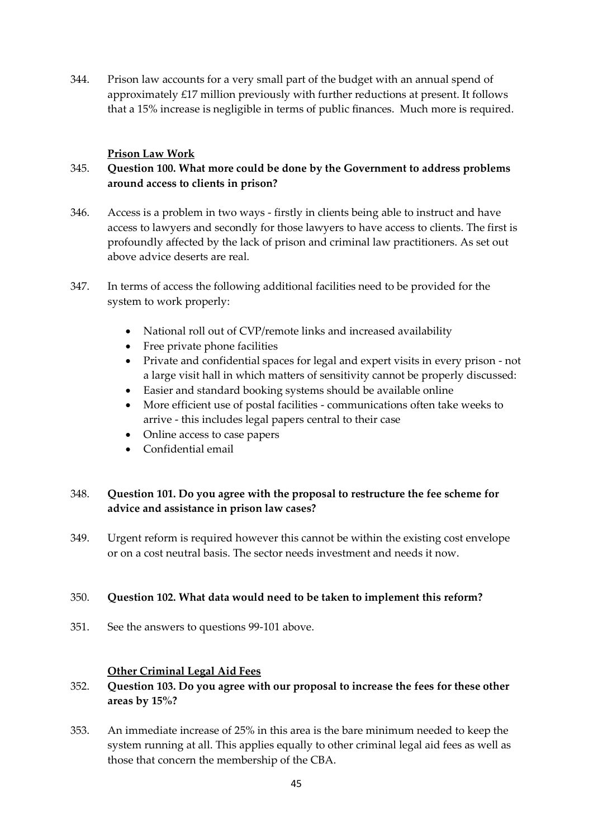344. Prison law accounts for a very small part of the budget with an annual spend of approximately £17 million previously with further reductions at present. It follows that a 15% increase is negligible in terms of public finances. Much more is required.

### **Prison Law Work**

# 345. **Question 100. What more could be done by the Government to address problems around access to clients in prison?**

- 346. Access is a problem in two ways firstly in clients being able to instruct and have access to lawyers and secondly for those lawyers to have access to clients. The first is profoundly affected by the lack of prison and criminal law practitioners. As set out above advice deserts are real.
- 347. In terms of access the following additional facilities need to be provided for the system to work properly:
	- National roll out of CVP/remote links and increased availability
	- Free private phone facilities
	- Private and confidential spaces for legal and expert visits in every prison not a large visit hall in which matters of sensitivity cannot be properly discussed:
	- Easier and standard booking systems should be available online
	- More efficient use of postal facilities communications often take weeks to arrive - this includes legal papers central to their case
	- Online access to case papers
	- Confidential email

## 348. **Question 101. Do you agree with the proposal to restructure the fee scheme for advice and assistance in prison law cases?**

349. Urgent reform is required however this cannot be within the existing cost envelope or on a cost neutral basis. The sector needs investment and needs it now.

#### 350. **Question 102. What data would need to be taken to implement this reform?**

351. See the answers to questions 99-101 above.

#### **Other Criminal Legal Aid Fees**

### 352. **Question 103. Do you agree with our proposal to increase the fees for these other areas by 15%?**

353. An immediate increase of 25% in this area is the bare minimum needed to keep the system running at all. This applies equally to other criminal legal aid fees as well as those that concern the membership of the CBA.